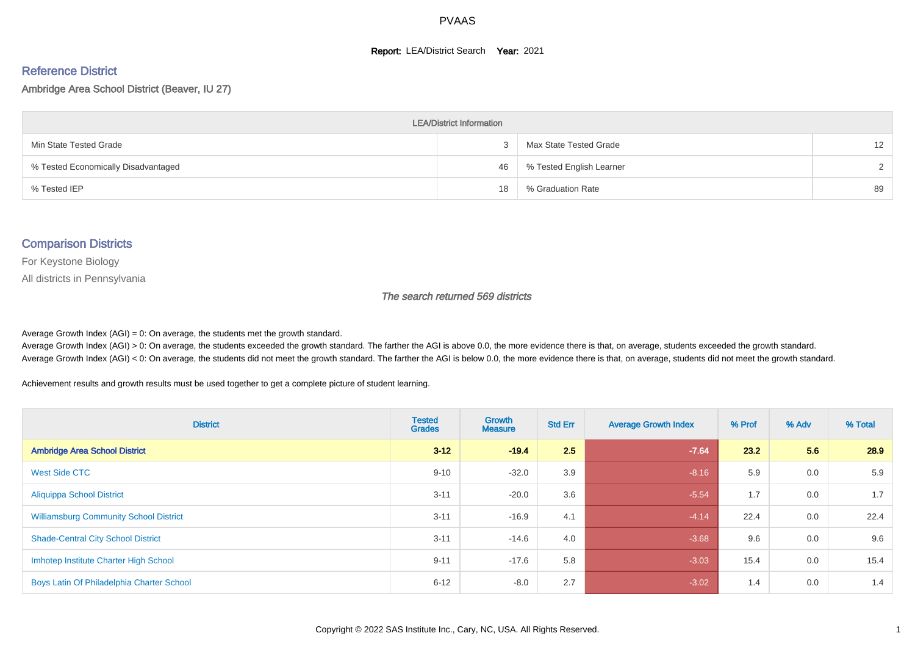#### **Report: LEA/District Search Year: 2021**

# Reference District

Ambridge Area School District (Beaver, IU 27)

| <b>LEA/District Information</b>     |    |                          |                   |  |  |  |  |  |  |  |
|-------------------------------------|----|--------------------------|-------------------|--|--|--|--|--|--|--|
| Min State Tested Grade              |    | Max State Tested Grade   | $12 \overline{ }$ |  |  |  |  |  |  |  |
| % Tested Economically Disadvantaged | 46 | % Tested English Learner | $\mathcal{D}$     |  |  |  |  |  |  |  |
| % Tested IEP                        | 18 | % Graduation Rate        | 89                |  |  |  |  |  |  |  |

#### Comparison Districts

For Keystone Biology

All districts in Pennsylvania

The search returned 569 districts

Average Growth Index  $(AGI) = 0$ : On average, the students met the growth standard.

Average Growth Index (AGI) > 0: On average, the students exceeded the growth standard. The farther the AGI is above 0.0, the more evidence there is that, on average, students exceeded the growth standard. Average Growth Index (AGI) < 0: On average, the students did not meet the growth standard. The farther the AGI is below 0.0, the more evidence there is that, on average, students did not meet the growth standard.

Achievement results and growth results must be used together to get a complete picture of student learning.

| <b>District</b>                               | <b>Tested</b><br><b>Grades</b> | Growth<br><b>Measure</b> | <b>Std Err</b> | <b>Average Growth Index</b> | % Prof | % Adv | % Total |
|-----------------------------------------------|--------------------------------|--------------------------|----------------|-----------------------------|--------|-------|---------|
| <b>Ambridge Area School District</b>          | $3 - 12$                       | $-19.4$                  | 2.5            | $-7.64$                     | 23.2   | 5.6   | 28.9    |
| <b>West Side CTC</b>                          | $9 - 10$                       | $-32.0$                  | 3.9            | $-8.16$                     | 5.9    | 0.0   | 5.9     |
| <b>Aliquippa School District</b>              | $3 - 11$                       | $-20.0$                  | 3.6            | $-5.54$                     | 1.7    | 0.0   | 1.7     |
| <b>Williamsburg Community School District</b> | $3 - 11$                       | $-16.9$                  | 4.1            | $-4.14$                     | 22.4   | 0.0   | 22.4    |
| <b>Shade-Central City School District</b>     | $3 - 11$                       | $-14.6$                  | 4.0            | $-3.68$                     | 9.6    | 0.0   | 9.6     |
| Imhotep Institute Charter High School         | $9 - 11$                       | $-17.6$                  | 5.8            | $-3.03$                     | 15.4   | 0.0   | 15.4    |
| Boys Latin Of Philadelphia Charter School     | $6 - 12$                       | $-8.0$                   | 2.7            | $-3.02$                     | 1.4    | 0.0   | 1.4     |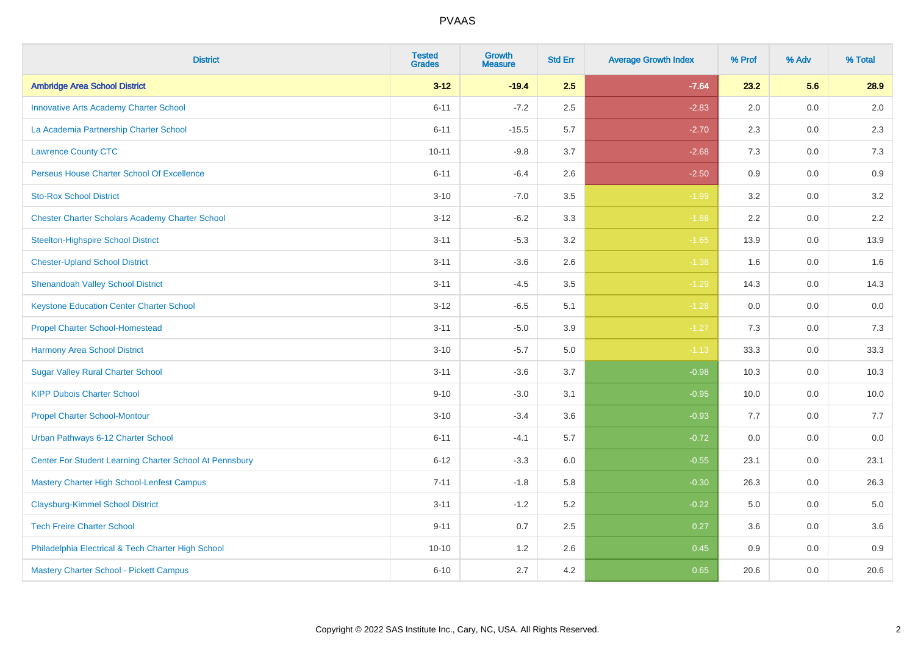| <b>District</b>                                         | <b>Tested</b><br><b>Grades</b> | <b>Growth</b><br><b>Measure</b> | <b>Std Err</b> | <b>Average Growth Index</b> | % Prof | % Adv   | % Total |
|---------------------------------------------------------|--------------------------------|---------------------------------|----------------|-----------------------------|--------|---------|---------|
| <b>Ambridge Area School District</b>                    | $3 - 12$                       | $-19.4$                         | 2.5            | $-7.64$                     | 23.2   | 5.6     | 28.9    |
| <b>Innovative Arts Academy Charter School</b>           | $6 - 11$                       | $-7.2$                          | 2.5            | $-2.83$                     | 2.0    | 0.0     | 2.0     |
| La Academia Partnership Charter School                  | $6 - 11$                       | $-15.5$                         | 5.7            | $-2.70$                     | 2.3    | 0.0     | 2.3     |
| <b>Lawrence County CTC</b>                              | $10 - 11$                      | $-9.8$                          | 3.7            | $-2.68$                     | 7.3    | 0.0     | $7.3$   |
| Perseus House Charter School Of Excellence              | $6 - 11$                       | $-6.4$                          | 2.6            | $-2.50$                     | 0.9    | 0.0     | 0.9     |
| <b>Sto-Rox School District</b>                          | $3 - 10$                       | $-7.0$                          | 3.5            | $-1.99$                     | 3.2    | 0.0     | 3.2     |
| <b>Chester Charter Scholars Academy Charter School</b>  | $3 - 12$                       | $-6.2$                          | 3.3            | $-1.88$                     | 2.2    | $0.0\,$ | 2.2     |
| <b>Steelton-Highspire School District</b>               | $3 - 11$                       | $-5.3$                          | 3.2            | $-1.65$                     | 13.9   | 0.0     | 13.9    |
| <b>Chester-Upland School District</b>                   | $3 - 11$                       | $-3.6$                          | 2.6            | $-1.38$                     | 1.6    | 0.0     | 1.6     |
| <b>Shenandoah Valley School District</b>                | $3 - 11$                       | $-4.5$                          | $3.5\,$        | $-1.29$                     | 14.3   | $0.0\,$ | 14.3    |
| <b>Keystone Education Center Charter School</b>         | $3 - 12$                       | $-6.5$                          | 5.1            | $-1.28$                     | 0.0    | 0.0     | 0.0     |
| <b>Propel Charter School-Homestead</b>                  | $3 - 11$                       | $-5.0$                          | 3.9            | $-1.27$                     | 7.3    | 0.0     | 7.3     |
| <b>Harmony Area School District</b>                     | $3 - 10$                       | $-5.7$                          | 5.0            | $-1.13$                     | 33.3   | 0.0     | 33.3    |
| <b>Sugar Valley Rural Charter School</b>                | $3 - 11$                       | $-3.6$                          | 3.7            | $-0.98$                     | 10.3   | $0.0\,$ | 10.3    |
| <b>KIPP Dubois Charter School</b>                       | $9 - 10$                       | $-3.0$                          | 3.1            | $-0.95$                     | 10.0   | 0.0     | 10.0    |
| <b>Propel Charter School-Montour</b>                    | $3 - 10$                       | $-3.4$                          | 3.6            | $-0.93$                     | 7.7    | 0.0     | 7.7     |
| Urban Pathways 6-12 Charter School                      | $6 - 11$                       | $-4.1$                          | 5.7            | $-0.72$                     | 0.0    | 0.0     | $0.0\,$ |
| Center For Student Learning Charter School At Pennsbury | $6 - 12$                       | $-3.3$                          | 6.0            | $-0.55$                     | 23.1   | 0.0     | 23.1    |
| <b>Mastery Charter High School-Lenfest Campus</b>       | $7 - 11$                       | $-1.8$                          | 5.8            | $-0.30$                     | 26.3   | 0.0     | 26.3    |
| <b>Claysburg-Kimmel School District</b>                 | $3 - 11$                       | $-1.2$                          | 5.2            | $-0.22$                     | 5.0    | 0.0     | 5.0     |
| <b>Tech Freire Charter School</b>                       | $9 - 11$                       | 0.7                             | 2.5            | 0.27                        | 3.6    | 0.0     | 3.6     |
| Philadelphia Electrical & Tech Charter High School      | $10 - 10$                      | 1.2                             | 2.6            | 0.45                        | 0.9    | 0.0     | 0.9     |
| Mastery Charter School - Pickett Campus                 | $6 - 10$                       | 2.7                             | 4.2            | 0.65                        | 20.6   | 0.0     | 20.6    |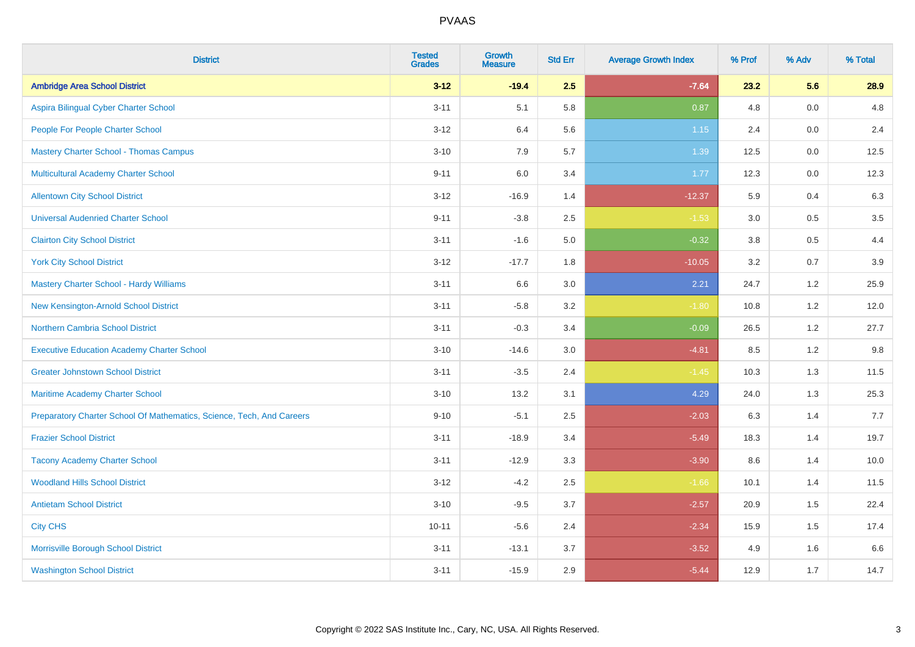| <b>District</b>                                                       | <b>Tested</b><br><b>Grades</b> | <b>Growth</b><br><b>Measure</b> | <b>Std Err</b> | <b>Average Growth Index</b> | % Prof | % Adv | % Total |
|-----------------------------------------------------------------------|--------------------------------|---------------------------------|----------------|-----------------------------|--------|-------|---------|
| <b>Ambridge Area School District</b>                                  | $3 - 12$                       | $-19.4$                         | 2.5            | $-7.64$                     | 23.2   | 5.6   | 28.9    |
| Aspira Bilingual Cyber Charter School                                 | $3 - 11$                       | 5.1                             | 5.8            | 0.87                        | 4.8    | 0.0   | 4.8     |
| People For People Charter School                                      | $3 - 12$                       | 6.4                             | 5.6            | 1.15                        | 2.4    | 0.0   | 2.4     |
| <b>Mastery Charter School - Thomas Campus</b>                         | $3 - 10$                       | 7.9                             | 5.7            | 1.39                        | 12.5   | 0.0   | 12.5    |
| Multicultural Academy Charter School                                  | $9 - 11$                       | 6.0                             | 3.4            | 1.77                        | 12.3   | 0.0   | 12.3    |
| <b>Allentown City School District</b>                                 | $3 - 12$                       | $-16.9$                         | 1.4            | $-12.37$                    | 5.9    | 0.4   | 6.3     |
| <b>Universal Audenried Charter School</b>                             | $9 - 11$                       | $-3.8$                          | 2.5            | $-1.53$                     | 3.0    | 0.5   | $3.5\,$ |
| <b>Clairton City School District</b>                                  | $3 - 11$                       | $-1.6$                          | $5.0\,$        | $-0.32$                     | 3.8    | 0.5   | 4.4     |
| <b>York City School District</b>                                      | $3 - 12$                       | $-17.7$                         | 1.8            | $-10.05$                    | 3.2    | 0.7   | 3.9     |
| <b>Mastery Charter School - Hardy Williams</b>                        | $3 - 11$                       | 6.6                             | 3.0            | 2.21                        | 24.7   | 1.2   | 25.9    |
| New Kensington-Arnold School District                                 | $3 - 11$                       | $-5.8$                          | 3.2            | $-1.80$                     | 10.8   | 1.2   | 12.0    |
| <b>Northern Cambria School District</b>                               | $3 - 11$                       | $-0.3$                          | 3.4            | $-0.09$                     | 26.5   | 1.2   | 27.7    |
| <b>Executive Education Academy Charter School</b>                     | $3 - 10$                       | $-14.6$                         | 3.0            | $-4.81$                     | 8.5    | 1.2   | $9.8\,$ |
| <b>Greater Johnstown School District</b>                              | $3 - 11$                       | $-3.5$                          | 2.4            | $-1.45$                     | 10.3   | 1.3   | 11.5    |
| Maritime Academy Charter School                                       | $3 - 10$                       | 13.2                            | 3.1            | 4.29                        | 24.0   | 1.3   | 25.3    |
| Preparatory Charter School Of Mathematics, Science, Tech, And Careers | $9 - 10$                       | $-5.1$                          | 2.5            | $-2.03$                     | 6.3    | 1.4   | 7.7     |
| <b>Frazier School District</b>                                        | $3 - 11$                       | $-18.9$                         | 3.4            | $-5.49$                     | 18.3   | 1.4   | 19.7    |
| <b>Tacony Academy Charter School</b>                                  | $3 - 11$                       | $-12.9$                         | 3.3            | $-3.90$                     | 8.6    | 1.4   | 10.0    |
| <b>Woodland Hills School District</b>                                 | $3 - 12$                       | $-4.2$                          | 2.5            | $-1.66$                     | 10.1   | 1.4   | 11.5    |
| <b>Antietam School District</b>                                       | $3 - 10$                       | $-9.5$                          | 3.7            | $-2.57$                     | 20.9   | 1.5   | 22.4    |
| <b>City CHS</b>                                                       | $10 - 11$                      | $-5.6$                          | 2.4            | $-2.34$                     | 15.9   | 1.5   | 17.4    |
| Morrisville Borough School District                                   | $3 - 11$                       | $-13.1$                         | 3.7            | $-3.52$                     | 4.9    | 1.6   | 6.6     |
| <b>Washington School District</b>                                     | $3 - 11$                       | $-15.9$                         | 2.9            | $-5.44$                     | 12.9   | 1.7   | 14.7    |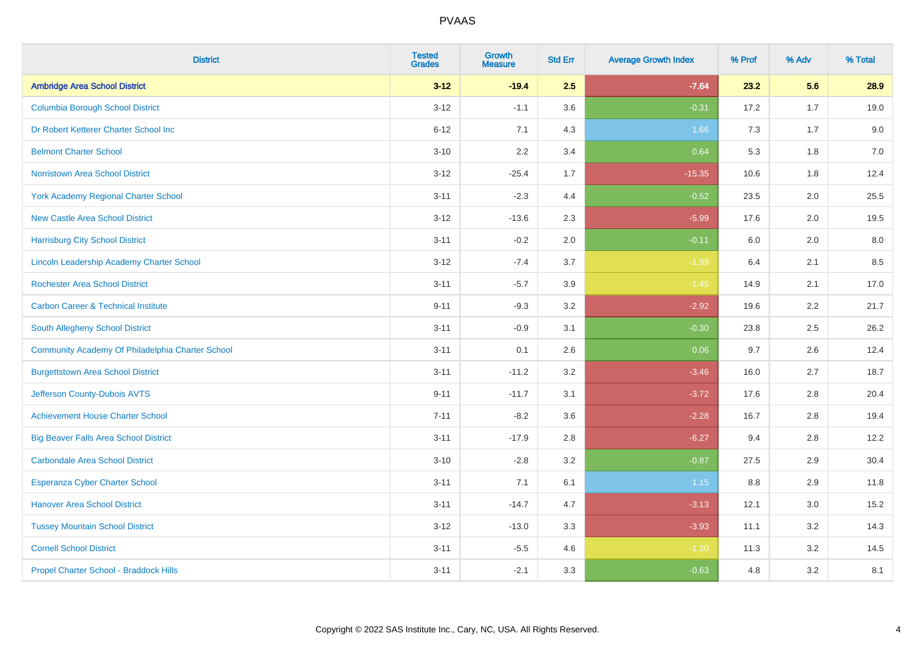| <b>District</b>                                  | <b>Tested</b><br><b>Grades</b> | <b>Growth</b><br><b>Measure</b> | <b>Std Err</b> | <b>Average Growth Index</b> | % Prof | % Adv   | % Total |
|--------------------------------------------------|--------------------------------|---------------------------------|----------------|-----------------------------|--------|---------|---------|
| <b>Ambridge Area School District</b>             | $3 - 12$                       | $-19.4$                         | 2.5            | $-7.64$                     | 23.2   | 5.6     | 28.9    |
| <b>Columbia Borough School District</b>          | $3 - 12$                       | $-1.1$                          | 3.6            | $-0.31$                     | 17.2   | 1.7     | 19.0    |
| Dr Robert Ketterer Charter School Inc            | $6 - 12$                       | 7.1                             | 4.3            | 1.66                        | 7.3    | 1.7     | 9.0     |
| <b>Belmont Charter School</b>                    | $3 - 10$                       | 2.2                             | 3.4            | 0.64                        | 5.3    | 1.8     | $7.0$   |
| <b>Norristown Area School District</b>           | $3 - 12$                       | $-25.4$                         | 1.7            | $-15.35$                    | 10.6   | 1.8     | 12.4    |
| <b>York Academy Regional Charter School</b>      | $3 - 11$                       | $-2.3$                          | 4.4            | $-0.52$                     | 23.5   | 2.0     | 25.5    |
| <b>New Castle Area School District</b>           | $3 - 12$                       | $-13.6$                         | 2.3            | $-5.99$                     | 17.6   | 2.0     | 19.5    |
| <b>Harrisburg City School District</b>           | $3 - 11$                       | $-0.2$                          | 2.0            | $-0.11$                     | 6.0    | 2.0     | 8.0     |
| Lincoln Leadership Academy Charter School        | $3 - 12$                       | $-7.4$                          | 3.7            | $-1.99$                     | 6.4    | 2.1     | 8.5     |
| <b>Rochester Area School District</b>            | $3 - 11$                       | $-5.7$                          | 3.9            | $-1.45$                     | 14.9   | 2.1     | 17.0    |
| <b>Carbon Career &amp; Technical Institute</b>   | $9 - 11$                       | $-9.3$                          | 3.2            | $-2.92$                     | 19.6   | 2.2     | 21.7    |
| South Allegheny School District                  | $3 - 11$                       | $-0.9$                          | 3.1            | $-0.30$                     | 23.8   | 2.5     | 26.2    |
| Community Academy Of Philadelphia Charter School | $3 - 11$                       | 0.1                             | 2.6            | 0.06                        | 9.7    | 2.6     | 12.4    |
| <b>Burgettstown Area School District</b>         | $3 - 11$                       | $-11.2$                         | 3.2            | $-3.46$                     | 16.0   | 2.7     | 18.7    |
| Jefferson County-Dubois AVTS                     | $9 - 11$                       | $-11.7$                         | 3.1            | $-3.72$                     | 17.6   | 2.8     | 20.4    |
| <b>Achievement House Charter School</b>          | $7 - 11$                       | $-8.2$                          | 3.6            | $-2.28$                     | 16.7   | 2.8     | 19.4    |
| <b>Big Beaver Falls Area School District</b>     | $3 - 11$                       | $-17.9$                         | 2.8            | $-6.27$                     | 9.4    | 2.8     | 12.2    |
| <b>Carbondale Area School District</b>           | $3 - 10$                       | $-2.8$                          | 3.2            | $-0.87$                     | 27.5   | 2.9     | 30.4    |
| <b>Esperanza Cyber Charter School</b>            | $3 - 11$                       | 7.1                             | 6.1            | 1.15                        | 8.8    | 2.9     | 11.8    |
| <b>Hanover Area School District</b>              | $3 - 11$                       | $-14.7$                         | 4.7            | $-3.13$                     | 12.1   | 3.0     | 15.2    |
| <b>Tussey Mountain School District</b>           | $3 - 12$                       | $-13.0$                         | 3.3            | $-3.93$                     | 11.1   | $3.2\,$ | 14.3    |
| <b>Cornell School District</b>                   | $3 - 11$                       | $-5.5$                          | 4.6            | $-1.20$                     | 11.3   | 3.2     | 14.5    |
| Propel Charter School - Braddock Hills           | $3 - 11$                       | $-2.1$                          | 3.3            | $-0.63$                     | 4.8    | 3.2     | 8.1     |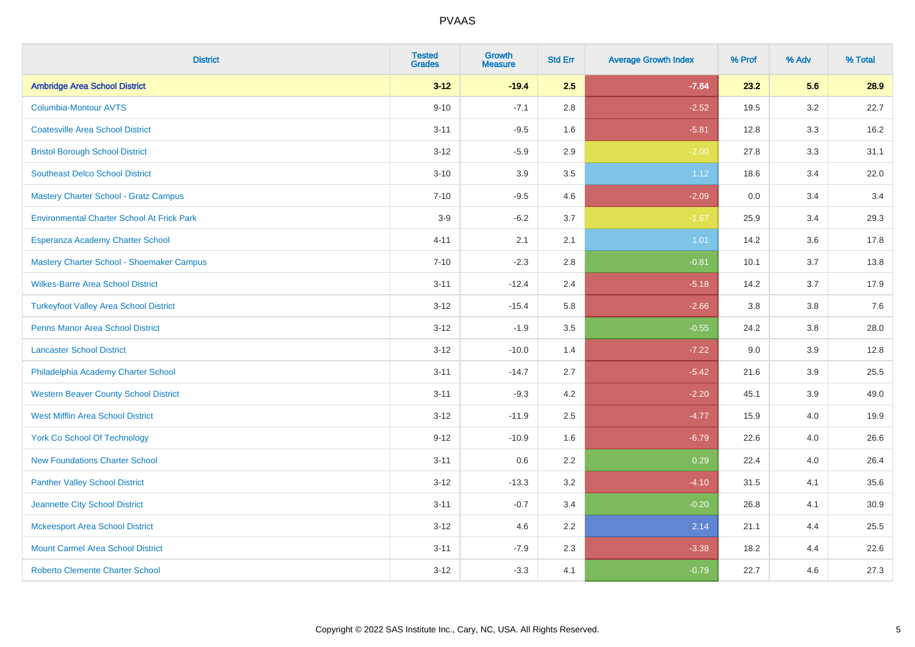| <b>District</b>                                   | <b>Tested</b><br><b>Grades</b> | <b>Growth</b><br><b>Measure</b> | <b>Std Err</b> | <b>Average Growth Index</b> | % Prof | % Adv | % Total |
|---------------------------------------------------|--------------------------------|---------------------------------|----------------|-----------------------------|--------|-------|---------|
| <b>Ambridge Area School District</b>              | $3 - 12$                       | $-19.4$                         | 2.5            | $-7.64$                     | 23.2   | 5.6   | 28.9    |
| <b>Columbia-Montour AVTS</b>                      | $9 - 10$                       | $-7.1$                          | 2.8            | $-2.52$                     | 19.5   | 3.2   | 22.7    |
| <b>Coatesville Area School District</b>           | $3 - 11$                       | $-9.5$                          | 1.6            | $-5.81$                     | 12.8   | 3.3   | 16.2    |
| <b>Bristol Borough School District</b>            | $3 - 12$                       | $-5.9$                          | 2.9            | $-2.00$                     | 27.8   | 3.3   | 31.1    |
| <b>Southeast Delco School District</b>            | $3 - 10$                       | 3.9                             | 3.5            | 1.12                        | 18.6   | 3.4   | 22.0    |
| <b>Mastery Charter School - Gratz Campus</b>      | $7 - 10$                       | $-9.5$                          | 4.6            | $-2.09$                     | 0.0    | 3.4   | 3.4     |
| <b>Environmental Charter School At Frick Park</b> | $3-9$                          | $-6.2$                          | 3.7            | $-1.67$                     | 25.9   | 3.4   | 29.3    |
| Esperanza Academy Charter School                  | $4 - 11$                       | 2.1                             | 2.1            | 1.01                        | 14.2   | 3.6   | 17.8    |
| Mastery Charter School - Shoemaker Campus         | $7 - 10$                       | $-2.3$                          | 2.8            | $-0.81$                     | 10.1   | 3.7   | 13.8    |
| <b>Wilkes-Barre Area School District</b>          | $3 - 11$                       | $-12.4$                         | 2.4            | $-5.18$                     | 14.2   | 3.7   | 17.9    |
| <b>Turkeyfoot Valley Area School District</b>     | $3 - 12$                       | $-15.4$                         | 5.8            | $-2.66$                     | 3.8    | 3.8   | 7.6     |
| <b>Penns Manor Area School District</b>           | $3 - 12$                       | $-1.9$                          | 3.5            | $-0.55$                     | 24.2   | 3.8   | 28.0    |
| <b>Lancaster School District</b>                  | $3 - 12$                       | $-10.0$                         | 1.4            | $-7.22$                     | 9.0    | 3.9   | 12.8    |
| Philadelphia Academy Charter School               | $3 - 11$                       | $-14.7$                         | 2.7            | $-5.42$                     | 21.6   | 3.9   | 25.5    |
| <b>Western Beaver County School District</b>      | $3 - 11$                       | $-9.3$                          | 4.2            | $-2.20$                     | 45.1   | 3.9   | 49.0    |
| <b>West Mifflin Area School District</b>          | $3 - 12$                       | $-11.9$                         | 2.5            | $-4.77$                     | 15.9   | 4.0   | 19.9    |
| <b>York Co School Of Technology</b>               | $9 - 12$                       | $-10.9$                         | 1.6            | $-6.79$                     | 22.6   | 4.0   | 26.6    |
| <b>New Foundations Charter School</b>             | $3 - 11$                       | 0.6                             | 2.2            | 0.29                        | 22.4   | 4.0   | 26.4    |
| <b>Panther Valley School District</b>             | $3 - 12$                       | $-13.3$                         | 3.2            | $-4.10$                     | 31.5   | 4.1   | 35.6    |
| Jeannette City School District                    | $3 - 11$                       | $-0.7$                          | 3.4            | $-0.20$                     | 26.8   | 4.1   | 30.9    |
| <b>Mckeesport Area School District</b>            | $3 - 12$                       | 4.6                             | 2.2            | 2.14                        | 21.1   | 4.4   | 25.5    |
| <b>Mount Carmel Area School District</b>          | $3 - 11$                       | $-7.9$                          | 2.3            | $-3.38$                     | 18.2   | 4.4   | 22.6    |
| <b>Roberto Clemente Charter School</b>            | $3 - 12$                       | $-3.3$                          | 4.1            | $-0.79$                     | 22.7   | 4.6   | 27.3    |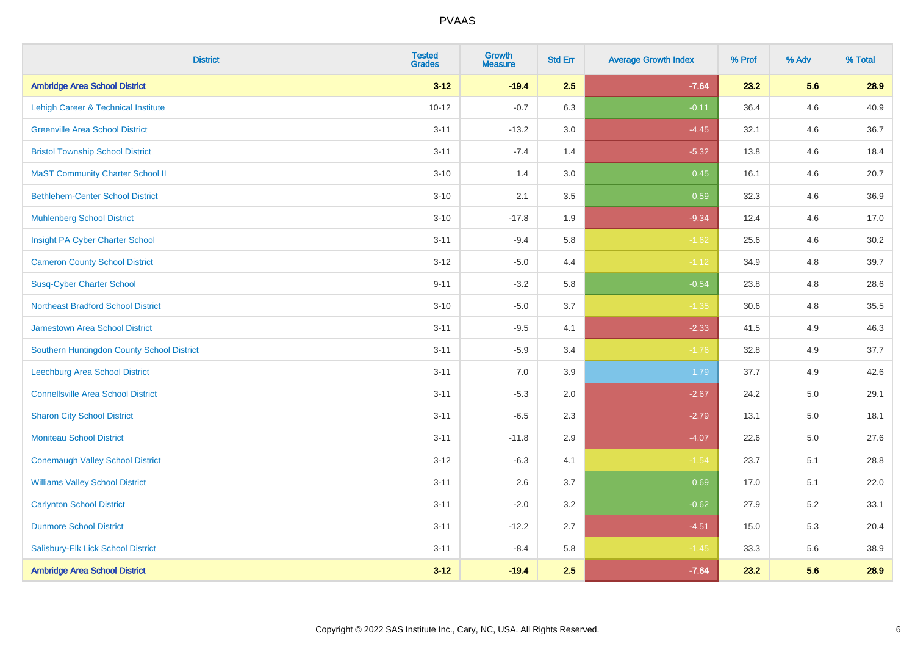| <b>District</b>                            | <b>Tested</b><br><b>Grades</b> | <b>Growth</b><br><b>Measure</b> | <b>Std Err</b> | <b>Average Growth Index</b> | % Prof | % Adv   | % Total |
|--------------------------------------------|--------------------------------|---------------------------------|----------------|-----------------------------|--------|---------|---------|
| <b>Ambridge Area School District</b>       | $3 - 12$                       | $-19.4$                         | 2.5            | $-7.64$                     | 23.2   | 5.6     | 28.9    |
| Lehigh Career & Technical Institute        | $10 - 12$                      | $-0.7$                          | 6.3            | $-0.11$                     | 36.4   | 4.6     | 40.9    |
| <b>Greenville Area School District</b>     | $3 - 11$                       | $-13.2$                         | 3.0            | $-4.45$                     | 32.1   | 4.6     | 36.7    |
| <b>Bristol Township School District</b>    | $3 - 11$                       | $-7.4$                          | 1.4            | $-5.32$                     | 13.8   | 4.6     | 18.4    |
| <b>MaST Community Charter School II</b>    | $3 - 10$                       | 1.4                             | 3.0            | 0.45                        | 16.1   | 4.6     | 20.7    |
| <b>Bethlehem-Center School District</b>    | $3 - 10$                       | 2.1                             | 3.5            | 0.59                        | 32.3   | 4.6     | 36.9    |
| <b>Muhlenberg School District</b>          | $3 - 10$                       | $-17.8$                         | 1.9            | $-9.34$                     | 12.4   | 4.6     | 17.0    |
| Insight PA Cyber Charter School            | $3 - 11$                       | $-9.4$                          | 5.8            | $-1.62$                     | 25.6   | 4.6     | 30.2    |
| <b>Cameron County School District</b>      | $3 - 12$                       | $-5.0$                          | 4.4            | $-1.12$                     | 34.9   | 4.8     | 39.7    |
| <b>Susq-Cyber Charter School</b>           | $9 - 11$                       | $-3.2$                          | 5.8            | $-0.54$                     | 23.8   | 4.8     | 28.6    |
| <b>Northeast Bradford School District</b>  | $3 - 10$                       | $-5.0$                          | 3.7            | $-1.35$                     | 30.6   | 4.8     | 35.5    |
| Jamestown Area School District             | $3 - 11$                       | $-9.5$                          | 4.1            | $-2.33$                     | 41.5   | 4.9     | 46.3    |
| Southern Huntingdon County School District | $3 - 11$                       | $-5.9$                          | 3.4            | $-1.76$                     | 32.8   | 4.9     | 37.7    |
| <b>Leechburg Area School District</b>      | $3 - 11$                       | 7.0                             | 3.9            | 1.79                        | 37.7   | 4.9     | 42.6    |
| <b>Connellsville Area School District</b>  | $3 - 11$                       | $-5.3$                          | 2.0            | $-2.67$                     | 24.2   | 5.0     | 29.1    |
| <b>Sharon City School District</b>         | $3 - 11$                       | $-6.5$                          | 2.3            | $-2.79$                     | 13.1   | $5.0\,$ | 18.1    |
| <b>Moniteau School District</b>            | $3 - 11$                       | $-11.8$                         | 2.9            | $-4.07$                     | 22.6   | 5.0     | 27.6    |
| <b>Conemaugh Valley School District</b>    | $3 - 12$                       | $-6.3$                          | 4.1            | $-1.54$                     | 23.7   | 5.1     | 28.8    |
| <b>Williams Valley School District</b>     | $3 - 11$                       | 2.6                             | 3.7            | 0.69                        | 17.0   | 5.1     | 22.0    |
| <b>Carlynton School District</b>           | $3 - 11$                       | $-2.0$                          | 3.2            | $-0.62$                     | 27.9   | 5.2     | 33.1    |
| <b>Dunmore School District</b>             | $3 - 11$                       | $-12.2$                         | 2.7            | $-4.51$                     | 15.0   | 5.3     | 20.4    |
| Salisbury-Elk Lick School District         | $3 - 11$                       | $-8.4$                          | 5.8            | $-1.45$                     | 33.3   | 5.6     | 38.9    |
| <b>Ambridge Area School District</b>       | $3 - 12$                       | $-19.4$                         | 2.5            | $-7.64$                     | 23.2   | 5.6     | 28.9    |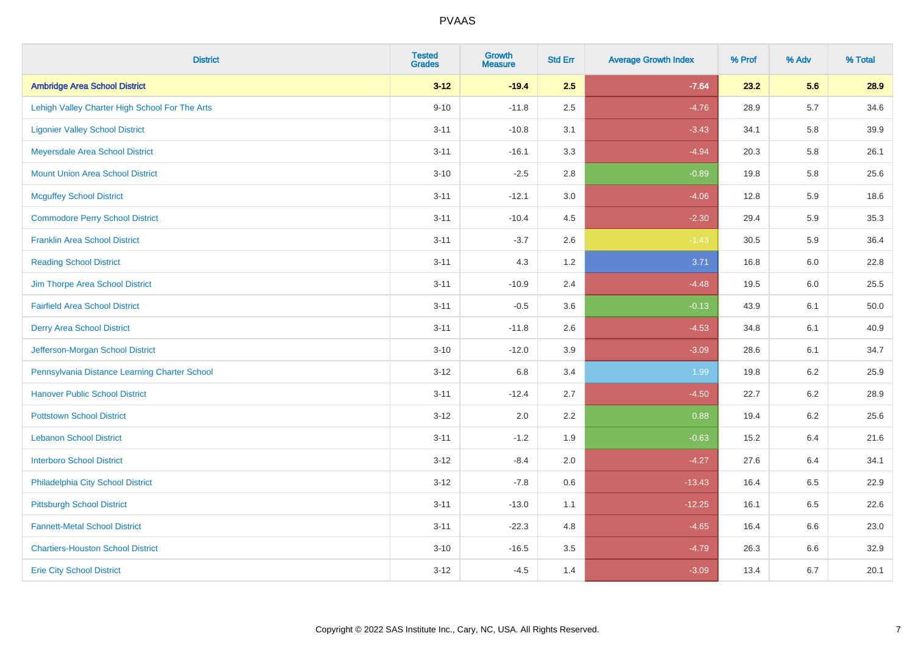| <b>District</b>                                | <b>Tested</b><br><b>Grades</b> | <b>Growth</b><br><b>Measure</b> | <b>Std Err</b> | <b>Average Growth Index</b> | % Prof | % Adv   | % Total |
|------------------------------------------------|--------------------------------|---------------------------------|----------------|-----------------------------|--------|---------|---------|
| <b>Ambridge Area School District</b>           | $3 - 12$                       | $-19.4$                         | 2.5            | $-7.64$                     | 23.2   | 5.6     | 28.9    |
| Lehigh Valley Charter High School For The Arts | $9 - 10$                       | $-11.8$                         | 2.5            | $-4.76$                     | 28.9   | $5.7\,$ | 34.6    |
| <b>Ligonier Valley School District</b>         | $3 - 11$                       | $-10.8$                         | 3.1            | $-3.43$                     | 34.1   | 5.8     | 39.9    |
| Meyersdale Area School District                | $3 - 11$                       | $-16.1$                         | 3.3            | $-4.94$                     | 20.3   | 5.8     | 26.1    |
| <b>Mount Union Area School District</b>        | $3 - 10$                       | $-2.5$                          | 2.8            | $-0.89$                     | 19.8   | 5.8     | 25.6    |
| <b>Mcguffey School District</b>                | $3 - 11$                       | $-12.1$                         | 3.0            | $-4.06$                     | 12.8   | 5.9     | 18.6    |
| <b>Commodore Perry School District</b>         | $3 - 11$                       | $-10.4$                         | 4.5            | $-2.30$                     | 29.4   | 5.9     | 35.3    |
| <b>Franklin Area School District</b>           | $3 - 11$                       | $-3.7$                          | 2.6            | $-1.43$                     | 30.5   | 5.9     | 36.4    |
| <b>Reading School District</b>                 | $3 - 11$                       | 4.3                             | 1.2            | 3.71                        | 16.8   | 6.0     | 22.8    |
| Jim Thorpe Area School District                | $3 - 11$                       | $-10.9$                         | 2.4            | $-4.48$                     | 19.5   | 6.0     | 25.5    |
| <b>Fairfield Area School District</b>          | $3 - 11$                       | $-0.5$                          | 3.6            | $-0.13$                     | 43.9   | 6.1     | 50.0    |
| <b>Derry Area School District</b>              | $3 - 11$                       | $-11.8$                         | 2.6            | $-4.53$                     | 34.8   | 6.1     | 40.9    |
| Jefferson-Morgan School District               | $3 - 10$                       | $-12.0$                         | 3.9            | $-3.09$                     | 28.6   | 6.1     | 34.7    |
| Pennsylvania Distance Learning Charter School  | $3 - 12$                       | 6.8                             | 3.4            | 1.99                        | 19.8   | $6.2\,$ | 25.9    |
| <b>Hanover Public School District</b>          | $3 - 11$                       | $-12.4$                         | 2.7            | $-4.50$                     | 22.7   | 6.2     | 28.9    |
| <b>Pottstown School District</b>               | $3 - 12$                       | 2.0                             | 2.2            | 0.88                        | 19.4   | $6.2\,$ | 25.6    |
| <b>Lebanon School District</b>                 | $3 - 11$                       | $-1.2$                          | 1.9            | $-0.63$                     | 15.2   | 6.4     | 21.6    |
| <b>Interboro School District</b>               | $3 - 12$                       | $-8.4$                          | 2.0            | $-4.27$                     | 27.6   | 6.4     | 34.1    |
| Philadelphia City School District              | $3 - 12$                       | $-7.8$                          | 0.6            | $-13.43$                    | 16.4   | 6.5     | 22.9    |
| <b>Pittsburgh School District</b>              | $3 - 11$                       | $-13.0$                         | 1.1            | $-12.25$                    | 16.1   | 6.5     | 22.6    |
| <b>Fannett-Metal School District</b>           | $3 - 11$                       | $-22.3$                         | 4.8            | $-4.65$                     | 16.4   | 6.6     | 23.0    |
| <b>Chartiers-Houston School District</b>       | $3 - 10$                       | $-16.5$                         | 3.5            | $-4.79$                     | 26.3   | $6.6\,$ | 32.9    |
| <b>Erie City School District</b>               | $3 - 12$                       | $-4.5$                          | 1.4            | $-3.09$                     | 13.4   | 6.7     | 20.1    |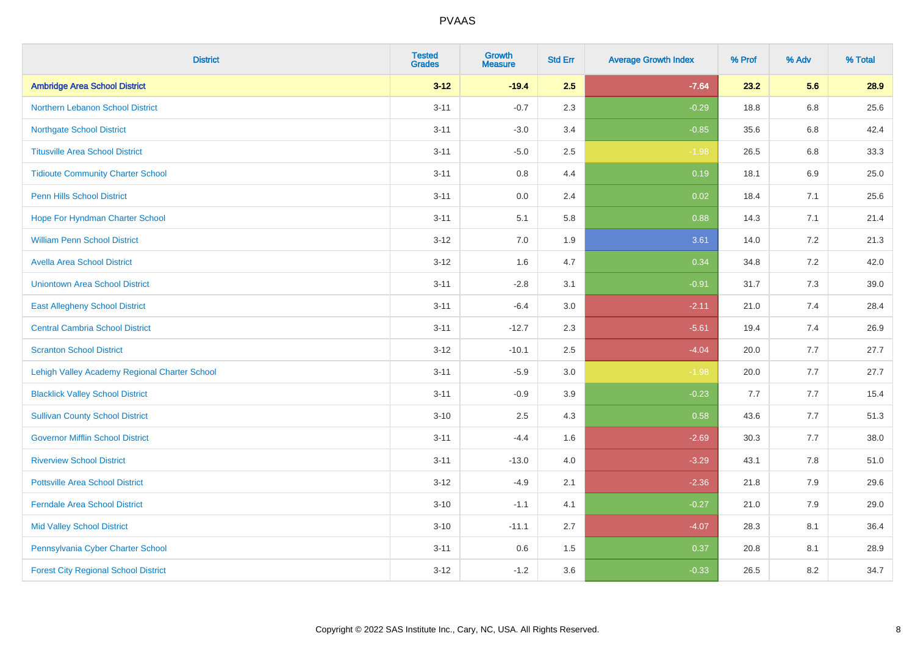| <b>District</b>                               | <b>Tested</b><br><b>Grades</b> | <b>Growth</b><br><b>Measure</b> | <b>Std Err</b> | <b>Average Growth Index</b> | % Prof | % Adv   | % Total |
|-----------------------------------------------|--------------------------------|---------------------------------|----------------|-----------------------------|--------|---------|---------|
| <b>Ambridge Area School District</b>          | $3 - 12$                       | $-19.4$                         | 2.5            | $-7.64$                     | 23.2   | 5.6     | 28.9    |
| Northern Lebanon School District              | $3 - 11$                       | $-0.7$                          | 2.3            | $-0.29$                     | 18.8   | 6.8     | 25.6    |
| <b>Northgate School District</b>              | $3 - 11$                       | $-3.0$                          | 3.4            | $-0.85$                     | 35.6   | 6.8     | 42.4    |
| <b>Titusville Area School District</b>        | $3 - 11$                       | $-5.0$                          | 2.5            | $-1.98$                     | 26.5   | $6.8\,$ | 33.3    |
| <b>Tidioute Community Charter School</b>      | $3 - 11$                       | 0.8                             | 4.4            | 0.19                        | 18.1   | 6.9     | 25.0    |
| <b>Penn Hills School District</b>             | $3 - 11$                       | 0.0                             | 2.4            | 0.02                        | 18.4   | 7.1     | 25.6    |
| Hope For Hyndman Charter School               | $3 - 11$                       | 5.1                             | 5.8            | 0.88                        | 14.3   | 7.1     | 21.4    |
| <b>William Penn School District</b>           | $3 - 12$                       | 7.0                             | 1.9            | 3.61                        | 14.0   | 7.2     | 21.3    |
| <b>Avella Area School District</b>            | $3 - 12$                       | 1.6                             | 4.7            | 0.34                        | 34.8   | 7.2     | 42.0    |
| <b>Uniontown Area School District</b>         | $3 - 11$                       | $-2.8$                          | 3.1            | $-0.91$                     | 31.7   | 7.3     | 39.0    |
| <b>East Allegheny School District</b>         | $3 - 11$                       | $-6.4$                          | 3.0            | $-2.11$                     | 21.0   | 7.4     | 28.4    |
| <b>Central Cambria School District</b>        | $3 - 11$                       | $-12.7$                         | 2.3            | $-5.61$                     | 19.4   | 7.4     | 26.9    |
| <b>Scranton School District</b>               | $3 - 12$                       | $-10.1$                         | 2.5            | $-4.04$                     | 20.0   | 7.7     | 27.7    |
| Lehigh Valley Academy Regional Charter School | $3 - 11$                       | $-5.9$                          | 3.0            | $-1.98$                     | 20.0   | 7.7     | 27.7    |
| <b>Blacklick Valley School District</b>       | $3 - 11$                       | $-0.9$                          | 3.9            | $-0.23$                     | 7.7    | 7.7     | 15.4    |
| <b>Sullivan County School District</b>        | $3 - 10$                       | 2.5                             | 4.3            | 0.58                        | 43.6   | 7.7     | 51.3    |
| <b>Governor Mifflin School District</b>       | $3 - 11$                       | $-4.4$                          | 1.6            | $-2.69$                     | 30.3   | 7.7     | 38.0    |
| <b>Riverview School District</b>              | $3 - 11$                       | $-13.0$                         | 4.0            | $-3.29$                     | 43.1   | 7.8     | 51.0    |
| <b>Pottsville Area School District</b>        | $3 - 12$                       | $-4.9$                          | 2.1            | $-2.36$                     | 21.8   | 7.9     | 29.6    |
| <b>Ferndale Area School District</b>          | $3 - 10$                       | $-1.1$                          | 4.1            | $-0.27$                     | 21.0   | 7.9     | 29.0    |
| <b>Mid Valley School District</b>             | $3 - 10$                       | $-11.1$                         | 2.7            | $-4.07$                     | 28.3   | 8.1     | 36.4    |
| Pennsylvania Cyber Charter School             | $3 - 11$                       | 0.6                             | 1.5            | 0.37                        | 20.8   | 8.1     | 28.9    |
| <b>Forest City Regional School District</b>   | $3 - 12$                       | $-1.2$                          | 3.6            | $-0.33$                     | 26.5   | 8.2     | 34.7    |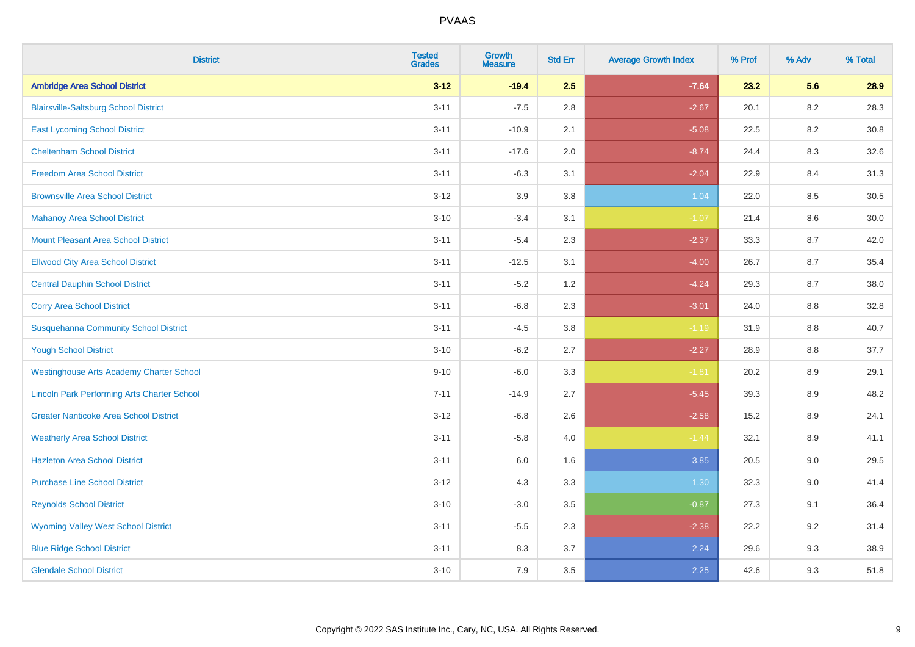| <b>District</b>                                    | <b>Tested</b><br><b>Grades</b> | <b>Growth</b><br><b>Measure</b> | <b>Std Err</b> | <b>Average Growth Index</b> | % Prof | % Adv   | % Total |
|----------------------------------------------------|--------------------------------|---------------------------------|----------------|-----------------------------|--------|---------|---------|
| <b>Ambridge Area School District</b>               | $3 - 12$                       | $-19.4$                         | 2.5            | $-7.64$                     | 23.2   | 5.6     | 28.9    |
| <b>Blairsville-Saltsburg School District</b>       | $3 - 11$                       | $-7.5$                          | 2.8            | $-2.67$                     | 20.1   | 8.2     | 28.3    |
| <b>East Lycoming School District</b>               | $3 - 11$                       | $-10.9$                         | 2.1            | $-5.08$                     | 22.5   | 8.2     | 30.8    |
| <b>Cheltenham School District</b>                  | $3 - 11$                       | $-17.6$                         | 2.0            | $-8.74$                     | 24.4   | 8.3     | 32.6    |
| <b>Freedom Area School District</b>                | $3 - 11$                       | $-6.3$                          | 3.1            | $-2.04$                     | 22.9   | 8.4     | 31.3    |
| <b>Brownsville Area School District</b>            | $3 - 12$                       | 3.9                             | 3.8            | 1.04                        | 22.0   | 8.5     | 30.5    |
| <b>Mahanoy Area School District</b>                | $3 - 10$                       | $-3.4$                          | 3.1            | $-1.07$                     | 21.4   | $8.6\,$ | 30.0    |
| <b>Mount Pleasant Area School District</b>         | $3 - 11$                       | $-5.4$                          | 2.3            | $-2.37$                     | 33.3   | 8.7     | 42.0    |
| <b>Ellwood City Area School District</b>           | $3 - 11$                       | $-12.5$                         | 3.1            | $-4.00$                     | 26.7   | 8.7     | 35.4    |
| <b>Central Dauphin School District</b>             | $3 - 11$                       | $-5.2$                          | 1.2            | $-4.24$                     | 29.3   | 8.7     | 38.0    |
| <b>Corry Area School District</b>                  | $3 - 11$                       | $-6.8$                          | 2.3            | $-3.01$                     | 24.0   | 8.8     | 32.8    |
| <b>Susquehanna Community School District</b>       | $3 - 11$                       | $-4.5$                          | 3.8            | $-1.19$                     | 31.9   | 8.8     | 40.7    |
| <b>Yough School District</b>                       | $3 - 10$                       | $-6.2$                          | 2.7            | $-2.27$                     | 28.9   | $8.8\,$ | 37.7    |
| <b>Westinghouse Arts Academy Charter School</b>    | $9 - 10$                       | $-6.0$                          | 3.3            | $-1.81$                     | 20.2   | 8.9     | 29.1    |
| <b>Lincoln Park Performing Arts Charter School</b> | $7 - 11$                       | $-14.9$                         | 2.7            | $-5.45$                     | 39.3   | 8.9     | 48.2    |
| <b>Greater Nanticoke Area School District</b>      | $3 - 12$                       | $-6.8$                          | 2.6            | $-2.58$                     | 15.2   | $8.9\,$ | 24.1    |
| <b>Weatherly Area School District</b>              | $3 - 11$                       | $-5.8$                          | 4.0            | $-1.44$                     | 32.1   | 8.9     | 41.1    |
| <b>Hazleton Area School District</b>               | $3 - 11$                       | 6.0                             | 1.6            | 3.85                        | 20.5   | 9.0     | 29.5    |
| <b>Purchase Line School District</b>               | $3 - 12$                       | 4.3                             | 3.3            | 1.30                        | 32.3   | 9.0     | 41.4    |
| <b>Reynolds School District</b>                    | $3 - 10$                       | $-3.0$                          | 3.5            | $-0.87$                     | 27.3   | 9.1     | 36.4    |
| <b>Wyoming Valley West School District</b>         | $3 - 11$                       | $-5.5$                          | 2.3            | $-2.38$                     | 22.2   | 9.2     | 31.4    |
| <b>Blue Ridge School District</b>                  | $3 - 11$                       | 8.3                             | 3.7            | 2.24                        | 29.6   | 9.3     | 38.9    |
| <b>Glendale School District</b>                    | $3 - 10$                       | 7.9                             | 3.5            | 2.25                        | 42.6   | 9.3     | 51.8    |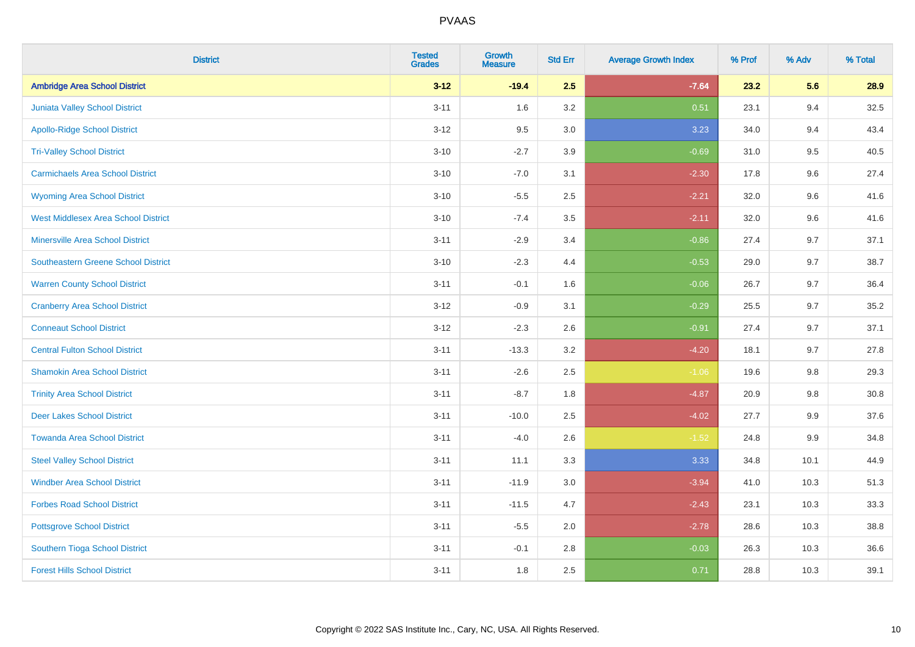| <b>District</b>                            | <b>Tested</b><br><b>Grades</b> | <b>Growth</b><br><b>Measure</b> | <b>Std Err</b> | <b>Average Growth Index</b> | % Prof | % Adv | % Total  |
|--------------------------------------------|--------------------------------|---------------------------------|----------------|-----------------------------|--------|-------|----------|
| <b>Ambridge Area School District</b>       | $3 - 12$                       | $-19.4$                         | 2.5            | $-7.64$                     | 23.2   | 5.6   | 28.9     |
| Juniata Valley School District             | $3 - 11$                       | 1.6                             | 3.2            | 0.51                        | 23.1   | 9.4   | 32.5     |
| <b>Apollo-Ridge School District</b>        | $3 - 12$                       | 9.5                             | 3.0            | 3.23                        | 34.0   | 9.4   | 43.4     |
| <b>Tri-Valley School District</b>          | $3 - 10$                       | $-2.7$                          | 3.9            | $-0.69$                     | 31.0   | 9.5   | 40.5     |
| <b>Carmichaels Area School District</b>    | $3 - 10$                       | $-7.0$                          | 3.1            | $-2.30$                     | 17.8   | 9.6   | 27.4     |
| <b>Wyoming Area School District</b>        | $3 - 10$                       | $-5.5$                          | 2.5            | $-2.21$                     | 32.0   | 9.6   | 41.6     |
| <b>West Middlesex Area School District</b> | $3 - 10$                       | $-7.4$                          | 3.5            | $-2.11$                     | 32.0   | 9.6   | 41.6     |
| <b>Minersville Area School District</b>    | $3 - 11$                       | $-2.9$                          | 3.4            | $-0.86$                     | 27.4   | 9.7   | 37.1     |
| <b>Southeastern Greene School District</b> | $3 - 10$                       | $-2.3$                          | 4.4            | $-0.53$                     | 29.0   | 9.7   | 38.7     |
| <b>Warren County School District</b>       | $3 - 11$                       | $-0.1$                          | 1.6            | $-0.06$                     | 26.7   | 9.7   | 36.4     |
| <b>Cranberry Area School District</b>      | $3 - 12$                       | $-0.9$                          | 3.1            | $-0.29$                     | 25.5   | 9.7   | 35.2     |
| <b>Conneaut School District</b>            | $3 - 12$                       | $-2.3$                          | 2.6            | $-0.91$                     | 27.4   | 9.7   | 37.1     |
| <b>Central Fulton School District</b>      | $3 - 11$                       | $-13.3$                         | $3.2\,$        | $-4.20$                     | 18.1   | 9.7   | 27.8     |
| <b>Shamokin Area School District</b>       | $3 - 11$                       | $-2.6$                          | 2.5            | $-1.06$                     | 19.6   | 9.8   | 29.3     |
| <b>Trinity Area School District</b>        | $3 - 11$                       | $-8.7$                          | 1.8            | $-4.87$                     | 20.9   | 9.8   | $30.8\,$ |
| <b>Deer Lakes School District</b>          | $3 - 11$                       | $-10.0$                         | 2.5            | $-4.02$                     | 27.7   | 9.9   | 37.6     |
| <b>Towanda Area School District</b>        | $3 - 11$                       | $-4.0$                          | 2.6            | $-1.52$                     | 24.8   | 9.9   | 34.8     |
| <b>Steel Valley School District</b>        | $3 - 11$                       | 11.1                            | 3.3            | 3.33                        | 34.8   | 10.1  | 44.9     |
| <b>Windber Area School District</b>        | $3 - 11$                       | $-11.9$                         | 3.0            | $-3.94$                     | 41.0   | 10.3  | 51.3     |
| <b>Forbes Road School District</b>         | $3 - 11$                       | $-11.5$                         | 4.7            | $-2.43$                     | 23.1   | 10.3  | 33.3     |
| <b>Pottsgrove School District</b>          | $3 - 11$                       | $-5.5$                          | 2.0            | $-2.78$                     | 28.6   | 10.3  | 38.8     |
| Southern Tioga School District             | $3 - 11$                       | $-0.1$                          | 2.8            | $-0.03$                     | 26.3   | 10.3  | 36.6     |
| <b>Forest Hills School District</b>        | $3 - 11$                       | 1.8                             | 2.5            | 0.71                        | 28.8   | 10.3  | 39.1     |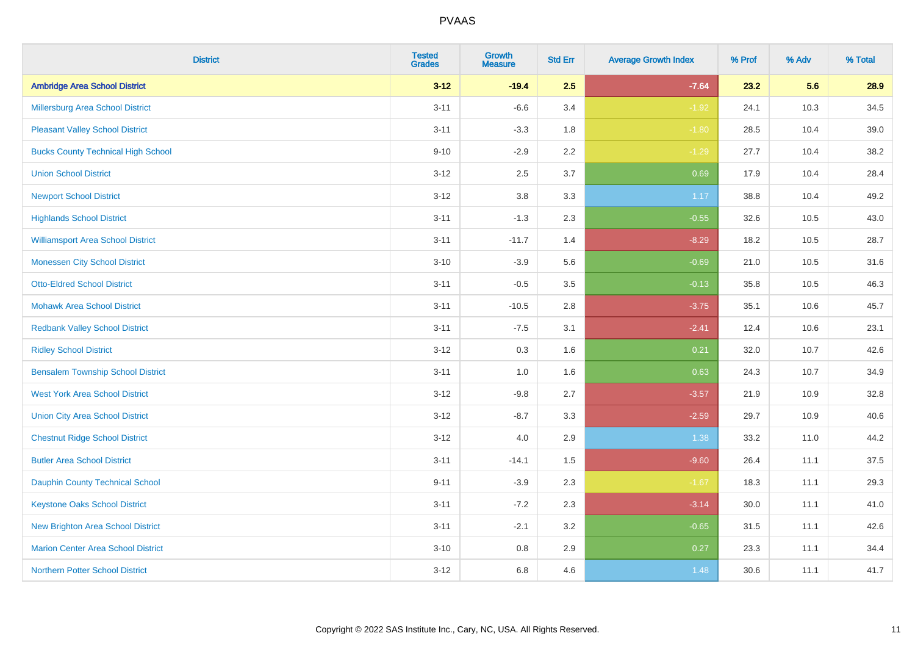| <b>District</b>                           | <b>Tested</b><br><b>Grades</b> | <b>Growth</b><br><b>Measure</b> | <b>Std Err</b> | <b>Average Growth Index</b> | % Prof | % Adv | % Total |
|-------------------------------------------|--------------------------------|---------------------------------|----------------|-----------------------------|--------|-------|---------|
| <b>Ambridge Area School District</b>      | $3 - 12$                       | $-19.4$                         | 2.5            | $-7.64$                     | 23.2   | 5.6   | 28.9    |
| <b>Millersburg Area School District</b>   | $3 - 11$                       | $-6.6$                          | 3.4            | $-1.92$                     | 24.1   | 10.3  | 34.5    |
| <b>Pleasant Valley School District</b>    | $3 - 11$                       | $-3.3$                          | 1.8            | $-1.80$                     | 28.5   | 10.4  | 39.0    |
| <b>Bucks County Technical High School</b> | $9 - 10$                       | $-2.9$                          | 2.2            | $-1.29$                     | 27.7   | 10.4  | 38.2    |
| <b>Union School District</b>              | $3-12$                         | 2.5                             | 3.7            | 0.69                        | 17.9   | 10.4  | 28.4    |
| <b>Newport School District</b>            | $3 - 12$                       | 3.8                             | 3.3            | 1.17                        | 38.8   | 10.4  | 49.2    |
| <b>Highlands School District</b>          | $3 - 11$                       | $-1.3$                          | 2.3            | $-0.55$                     | 32.6   | 10.5  | 43.0    |
| <b>Williamsport Area School District</b>  | $3 - 11$                       | $-11.7$                         | 1.4            | $-8.29$                     | 18.2   | 10.5  | 28.7    |
| <b>Monessen City School District</b>      | $3 - 10$                       | $-3.9$                          | 5.6            | $-0.69$                     | 21.0   | 10.5  | 31.6    |
| <b>Otto-Eldred School District</b>        | $3 - 11$                       | $-0.5$                          | 3.5            | $-0.13$                     | 35.8   | 10.5  | 46.3    |
| <b>Mohawk Area School District</b>        | $3 - 11$                       | $-10.5$                         | 2.8            | $-3.75$                     | 35.1   | 10.6  | 45.7    |
| <b>Redbank Valley School District</b>     | $3 - 11$                       | $-7.5$                          | 3.1            | $-2.41$                     | 12.4   | 10.6  | 23.1    |
| <b>Ridley School District</b>             | $3 - 12$                       | 0.3                             | 1.6            | 0.21                        | 32.0   | 10.7  | 42.6    |
| <b>Bensalem Township School District</b>  | $3 - 11$                       | $1.0\,$                         | 1.6            | 0.63                        | 24.3   | 10.7  | 34.9    |
| <b>West York Area School District</b>     | $3 - 12$                       | $-9.8$                          | 2.7            | $-3.57$                     | 21.9   | 10.9  | 32.8    |
| <b>Union City Area School District</b>    | $3 - 12$                       | $-8.7$                          | 3.3            | $-2.59$                     | 29.7   | 10.9  | 40.6    |
| <b>Chestnut Ridge School District</b>     | $3 - 12$                       | 4.0                             | 2.9            | 1.38                        | 33.2   | 11.0  | 44.2    |
| <b>Butler Area School District</b>        | $3 - 11$                       | $-14.1$                         | 1.5            | $-9.60$                     | 26.4   | 11.1  | 37.5    |
| <b>Dauphin County Technical School</b>    | $9 - 11$                       | $-3.9$                          | 2.3            | $-1.67$                     | 18.3   | 11.1  | 29.3    |
| <b>Keystone Oaks School District</b>      | $3 - 11$                       | $-7.2$                          | 2.3            | $-3.14$                     | 30.0   | 11.1  | 41.0    |
| <b>New Brighton Area School District</b>  | $3 - 11$                       | $-2.1$                          | 3.2            | $-0.65$                     | 31.5   | 11.1  | 42.6    |
| <b>Marion Center Area School District</b> | $3 - 10$                       | $0.8\,$                         | 2.9            | 0.27                        | 23.3   | 11.1  | 34.4    |
| <b>Northern Potter School District</b>    | $3-12$                         | 6.8                             | 4.6            | 1.48                        | 30.6   | 11.1  | 41.7    |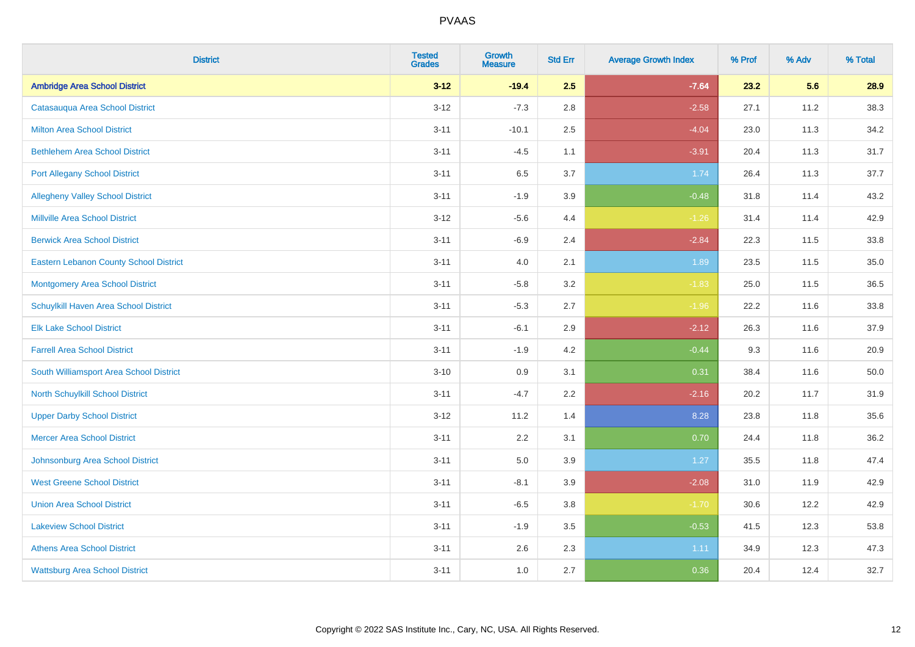| <b>District</b>                               | <b>Tested</b><br><b>Grades</b> | <b>Growth</b><br><b>Measure</b> | <b>Std Err</b> | <b>Average Growth Index</b> | % Prof | % Adv | % Total |
|-----------------------------------------------|--------------------------------|---------------------------------|----------------|-----------------------------|--------|-------|---------|
| <b>Ambridge Area School District</b>          | $3 - 12$                       | $-19.4$                         | 2.5            | $-7.64$                     | 23.2   | 5.6   | 28.9    |
| Catasauqua Area School District               | $3 - 12$                       | $-7.3$                          | 2.8            | $-2.58$                     | 27.1   | 11.2  | 38.3    |
| <b>Milton Area School District</b>            | $3 - 11$                       | $-10.1$                         | 2.5            | $-4.04$                     | 23.0   | 11.3  | 34.2    |
| <b>Bethlehem Area School District</b>         | $3 - 11$                       | $-4.5$                          | 1.1            | $-3.91$                     | 20.4   | 11.3  | 31.7    |
| <b>Port Allegany School District</b>          | $3 - 11$                       | 6.5                             | 3.7            | 1.74                        | 26.4   | 11.3  | 37.7    |
| <b>Allegheny Valley School District</b>       | $3 - 11$                       | $-1.9$                          | 3.9            | $-0.48$                     | 31.8   | 11.4  | 43.2    |
| <b>Millville Area School District</b>         | $3 - 12$                       | $-5.6$                          | 4.4            | $-1.26$                     | 31.4   | 11.4  | 42.9    |
| <b>Berwick Area School District</b>           | $3 - 11$                       | $-6.9$                          | 2.4            | $-2.84$                     | 22.3   | 11.5  | 33.8    |
| <b>Eastern Lebanon County School District</b> | $3 - 11$                       | 4.0                             | 2.1            | 1.89                        | 23.5   | 11.5  | 35.0    |
| <b>Montgomery Area School District</b>        | $3 - 11$                       | $-5.8$                          | 3.2            | $-1.83$                     | 25.0   | 11.5  | 36.5    |
| Schuylkill Haven Area School District         | $3 - 11$                       | $-5.3$                          | 2.7            | $-1.96$                     | 22.2   | 11.6  | 33.8    |
| <b>Elk Lake School District</b>               | $3 - 11$                       | $-6.1$                          | 2.9            | $-2.12$                     | 26.3   | 11.6  | 37.9    |
| <b>Farrell Area School District</b>           | $3 - 11$                       | $-1.9$                          | 4.2            | $-0.44$                     | 9.3    | 11.6  | 20.9    |
| South Williamsport Area School District       | $3 - 10$                       | 0.9                             | 3.1            | 0.31                        | 38.4   | 11.6  | 50.0    |
| <b>North Schuylkill School District</b>       | $3 - 11$                       | $-4.7$                          | 2.2            | $-2.16$                     | 20.2   | 11.7  | 31.9    |
| <b>Upper Darby School District</b>            | $3 - 12$                       | 11.2                            | 1.4            | 8.28                        | 23.8   | 11.8  | 35.6    |
| <b>Mercer Area School District</b>            | $3 - 11$                       | $2.2\,$                         | 3.1            | 0.70                        | 24.4   | 11.8  | 36.2    |
| Johnsonburg Area School District              | $3 - 11$                       | 5.0                             | 3.9            | 1.27                        | 35.5   | 11.8  | 47.4    |
| <b>West Greene School District</b>            | $3 - 11$                       | $-8.1$                          | 3.9            | $-2.08$                     | 31.0   | 11.9  | 42.9    |
| <b>Union Area School District</b>             | $3 - 11$                       | $-6.5$                          | 3.8            | $-1.70$                     | 30.6   | 12.2  | 42.9    |
| <b>Lakeview School District</b>               | $3 - 11$                       | $-1.9$                          | 3.5            | $-0.53$                     | 41.5   | 12.3  | 53.8    |
| <b>Athens Area School District</b>            | $3 - 11$                       | 2.6                             | 2.3            | 1.11                        | 34.9   | 12.3  | 47.3    |
| <b>Wattsburg Area School District</b>         | $3 - 11$                       | 1.0                             | 2.7            | 0.36                        | 20.4   | 12.4  | 32.7    |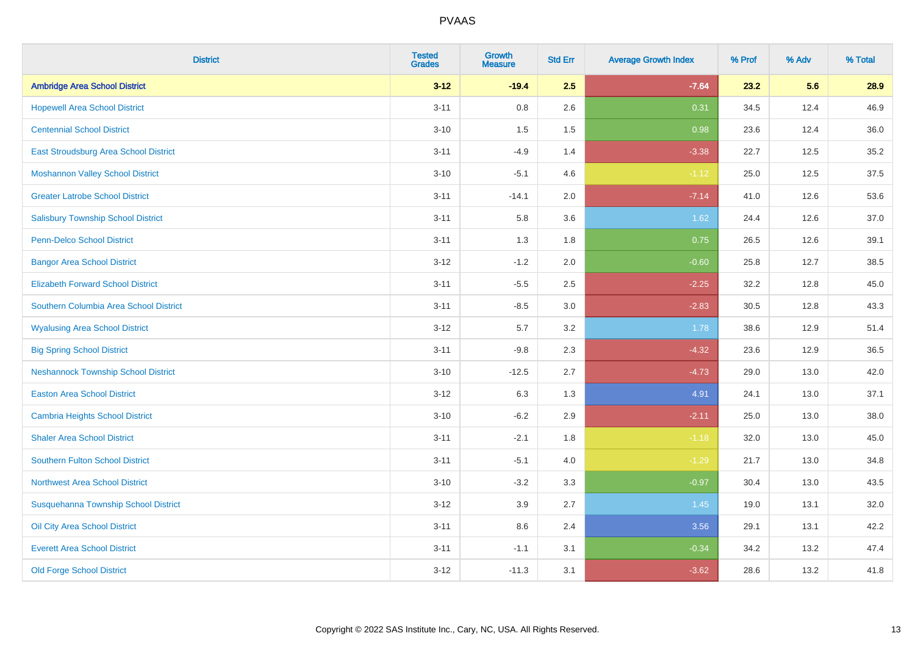| <b>District</b>                            | <b>Tested</b><br><b>Grades</b> | <b>Growth</b><br><b>Measure</b> | <b>Std Err</b> | <b>Average Growth Index</b> | % Prof | % Adv | % Total |
|--------------------------------------------|--------------------------------|---------------------------------|----------------|-----------------------------|--------|-------|---------|
| <b>Ambridge Area School District</b>       | $3 - 12$                       | $-19.4$                         | 2.5            | $-7.64$                     | 23.2   | 5.6   | 28.9    |
| <b>Hopewell Area School District</b>       | $3 - 11$                       | $0.8\,$                         | 2.6            | 0.31                        | 34.5   | 12.4  | 46.9    |
| <b>Centennial School District</b>          | $3 - 10$                       | 1.5                             | 1.5            | 0.98                        | 23.6   | 12.4  | 36.0    |
| East Stroudsburg Area School District      | $3 - 11$                       | $-4.9$                          | 1.4            | $-3.38$                     | 22.7   | 12.5  | 35.2    |
| <b>Moshannon Valley School District</b>    | $3 - 10$                       | $-5.1$                          | 4.6            | $-1.12$                     | 25.0   | 12.5  | 37.5    |
| <b>Greater Latrobe School District</b>     | $3 - 11$                       | $-14.1$                         | 2.0            | $-7.14$                     | 41.0   | 12.6  | 53.6    |
| <b>Salisbury Township School District</b>  | $3 - 11$                       | 5.8                             | 3.6            | 1.62                        | 24.4   | 12.6  | 37.0    |
| <b>Penn-Delco School District</b>          | $3 - 11$                       | 1.3                             | 1.8            | 0.75                        | 26.5   | 12.6  | 39.1    |
| <b>Bangor Area School District</b>         | $3 - 12$                       | $-1.2$                          | 2.0            | $-0.60$                     | 25.8   | 12.7  | 38.5    |
| <b>Elizabeth Forward School District</b>   | $3 - 11$                       | $-5.5$                          | 2.5            | $-2.25$                     | 32.2   | 12.8  | 45.0    |
| Southern Columbia Area School District     | $3 - 11$                       | $-8.5$                          | 3.0            | $-2.83$                     | 30.5   | 12.8  | 43.3    |
| <b>Wyalusing Area School District</b>      | $3 - 12$                       | 5.7                             | 3.2            | 1.78                        | 38.6   | 12.9  | 51.4    |
| <b>Big Spring School District</b>          | $3 - 11$                       | $-9.8$                          | 2.3            | $-4.32$                     | 23.6   | 12.9  | 36.5    |
| <b>Neshannock Township School District</b> | $3 - 10$                       | $-12.5$                         | 2.7            | $-4.73$                     | 29.0   | 13.0  | 42.0    |
| <b>Easton Area School District</b>         | $3 - 12$                       | 6.3                             | 1.3            | 4.91                        | 24.1   | 13.0  | 37.1    |
| <b>Cambria Heights School District</b>     | $3 - 10$                       | $-6.2$                          | 2.9            | $-2.11$                     | 25.0   | 13.0  | 38.0    |
| <b>Shaler Area School District</b>         | $3 - 11$                       | $-2.1$                          | 1.8            | $-1.18$                     | 32.0   | 13.0  | 45.0    |
| <b>Southern Fulton School District</b>     | $3 - 11$                       | $-5.1$                          | 4.0            | $-1.29$                     | 21.7   | 13.0  | 34.8    |
| Northwest Area School District             | $3 - 10$                       | $-3.2$                          | 3.3            | $-0.97$                     | 30.4   | 13.0  | 43.5    |
| Susquehanna Township School District       | $3 - 12$                       | 3.9                             | 2.7            | 1.45                        | 19.0   | 13.1  | 32.0    |
| Oil City Area School District              | $3 - 11$                       | 8.6                             | 2.4            | 3.56                        | 29.1   | 13.1  | 42.2    |
| <b>Everett Area School District</b>        | $3 - 11$                       | $-1.1$                          | 3.1            | $-0.34$                     | 34.2   | 13.2  | 47.4    |
| <b>Old Forge School District</b>           | $3 - 12$                       | $-11.3$                         | 3.1            | $-3.62$                     | 28.6   | 13.2  | 41.8    |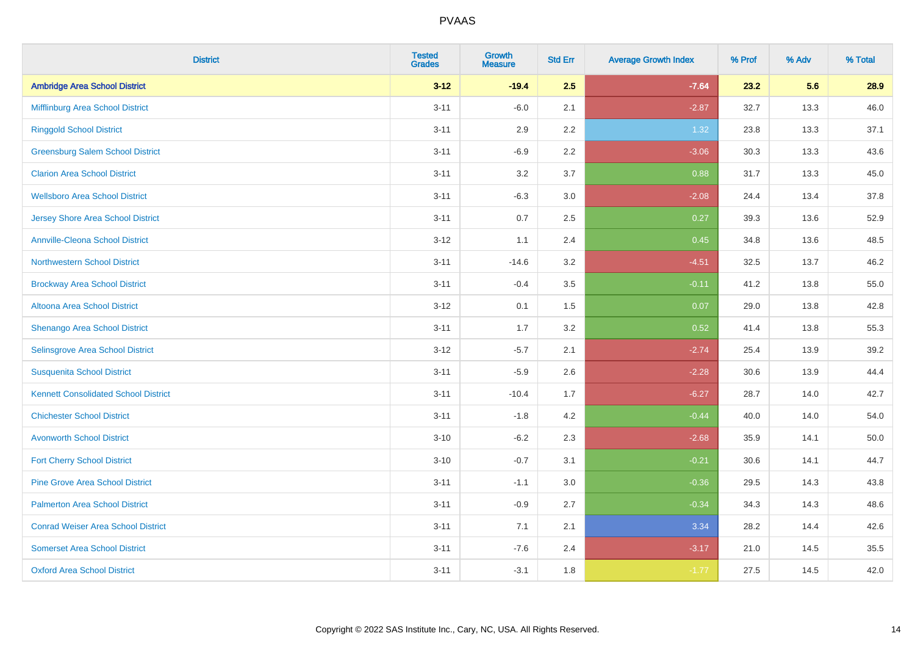| <b>District</b>                             | <b>Tested</b><br><b>Grades</b> | <b>Growth</b><br><b>Measure</b> | <b>Std Err</b> | <b>Average Growth Index</b> | % Prof | % Adv | % Total |
|---------------------------------------------|--------------------------------|---------------------------------|----------------|-----------------------------|--------|-------|---------|
| <b>Ambridge Area School District</b>        | $3 - 12$                       | $-19.4$                         | 2.5            | $-7.64$                     | 23.2   | 5.6   | 28.9    |
| Mifflinburg Area School District            | $3 - 11$                       | $-6.0$                          | 2.1            | $-2.87$                     | 32.7   | 13.3  | 46.0    |
| <b>Ringgold School District</b>             | $3 - 11$                       | 2.9                             | 2.2            | 1.32                        | 23.8   | 13.3  | 37.1    |
| <b>Greensburg Salem School District</b>     | $3 - 11$                       | $-6.9$                          | 2.2            | $-3.06$                     | 30.3   | 13.3  | 43.6    |
| <b>Clarion Area School District</b>         | $3 - 11$                       | 3.2                             | 3.7            | 0.88                        | 31.7   | 13.3  | 45.0    |
| <b>Wellsboro Area School District</b>       | $3 - 11$                       | $-6.3$                          | 3.0            | $-2.08$                     | 24.4   | 13.4  | 37.8    |
| <b>Jersey Shore Area School District</b>    | $3 - 11$                       | 0.7                             | 2.5            | 0.27                        | 39.3   | 13.6  | 52.9    |
| <b>Annville-Cleona School District</b>      | $3 - 12$                       | 1.1                             | 2.4            | 0.45                        | 34.8   | 13.6  | 48.5    |
| Northwestern School District                | $3 - 11$                       | $-14.6$                         | 3.2            | $-4.51$                     | 32.5   | 13.7  | 46.2    |
| <b>Brockway Area School District</b>        | $3 - 11$                       | $-0.4$                          | 3.5            | $-0.11$                     | 41.2   | 13.8  | 55.0    |
| Altoona Area School District                | $3 - 12$                       | 0.1                             | 1.5            | 0.07                        | 29.0   | 13.8  | 42.8    |
| Shenango Area School District               | $3 - 11$                       | 1.7                             | 3.2            | 0.52                        | 41.4   | 13.8  | 55.3    |
| Selinsgrove Area School District            | $3 - 12$                       | $-5.7$                          | 2.1            | $-2.74$                     | 25.4   | 13.9  | 39.2    |
| <b>Susquenita School District</b>           | $3 - 11$                       | $-5.9$                          | 2.6            | $-2.28$                     | 30.6   | 13.9  | 44.4    |
| <b>Kennett Consolidated School District</b> | $3 - 11$                       | $-10.4$                         | 1.7            | $-6.27$                     | 28.7   | 14.0  | 42.7    |
| <b>Chichester School District</b>           | $3 - 11$                       | $-1.8$                          | 4.2            | $-0.44$                     | 40.0   | 14.0  | 54.0    |
| <b>Avonworth School District</b>            | $3 - 10$                       | $-6.2$                          | 2.3            | $-2.68$                     | 35.9   | 14.1  | 50.0    |
| <b>Fort Cherry School District</b>          | $3 - 10$                       | $-0.7$                          | 3.1            | $-0.21$                     | 30.6   | 14.1  | 44.7    |
| <b>Pine Grove Area School District</b>      | $3 - 11$                       | $-1.1$                          | 3.0            | $-0.36$                     | 29.5   | 14.3  | 43.8    |
| <b>Palmerton Area School District</b>       | $3 - 11$                       | $-0.9$                          | 2.7            | $-0.34$                     | 34.3   | 14.3  | 48.6    |
| <b>Conrad Weiser Area School District</b>   | $3 - 11$                       | 7.1                             | 2.1            | 3.34                        | 28.2   | 14.4  | 42.6    |
| <b>Somerset Area School District</b>        | $3 - 11$                       | $-7.6$                          | 2.4            | $-3.17$                     | 21.0   | 14.5  | 35.5    |
| <b>Oxford Area School District</b>          | $3 - 11$                       | $-3.1$                          | 1.8            | $-1.77$                     | 27.5   | 14.5  | 42.0    |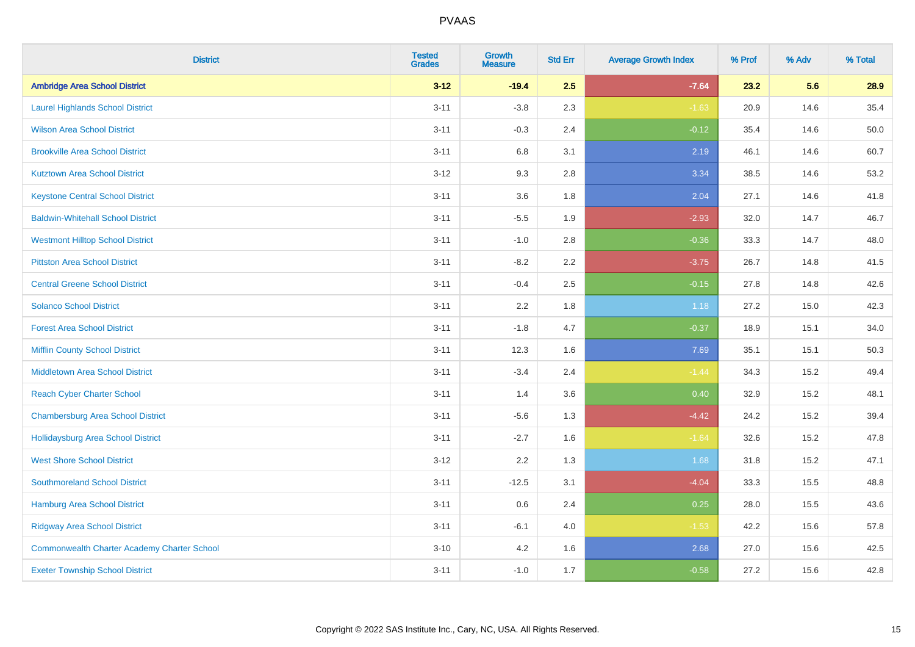| <b>District</b>                                    | <b>Tested</b><br><b>Grades</b> | <b>Growth</b><br><b>Measure</b> | <b>Std Err</b> | <b>Average Growth Index</b> | % Prof | % Adv | % Total |
|----------------------------------------------------|--------------------------------|---------------------------------|----------------|-----------------------------|--------|-------|---------|
| <b>Ambridge Area School District</b>               | $3 - 12$                       | $-19.4$                         | 2.5            | $-7.64$                     | 23.2   | 5.6   | 28.9    |
| <b>Laurel Highlands School District</b>            | $3 - 11$                       | $-3.8$                          | 2.3            | $-1.63$                     | 20.9   | 14.6  | 35.4    |
| <b>Wilson Area School District</b>                 | $3 - 11$                       | $-0.3$                          | 2.4            | $-0.12$                     | 35.4   | 14.6  | 50.0    |
| <b>Brookville Area School District</b>             | $3 - 11$                       | 6.8                             | 3.1            | 2.19                        | 46.1   | 14.6  | 60.7    |
| <b>Kutztown Area School District</b>               | $3 - 12$                       | 9.3                             | 2.8            | 3.34                        | 38.5   | 14.6  | 53.2    |
| <b>Keystone Central School District</b>            | $3 - 11$                       | 3.6                             | 1.8            | 2.04                        | 27.1   | 14.6  | 41.8    |
| <b>Baldwin-Whitehall School District</b>           | $3 - 11$                       | $-5.5$                          | 1.9            | $-2.93$                     | 32.0   | 14.7  | 46.7    |
| <b>Westmont Hilltop School District</b>            | $3 - 11$                       | $-1.0$                          | 2.8            | $-0.36$                     | 33.3   | 14.7  | 48.0    |
| <b>Pittston Area School District</b>               | $3 - 11$                       | $-8.2$                          | 2.2            | $-3.75$                     | 26.7   | 14.8  | 41.5    |
| <b>Central Greene School District</b>              | $3 - 11$                       | $-0.4$                          | 2.5            | $-0.15$                     | 27.8   | 14.8  | 42.6    |
| <b>Solanco School District</b>                     | $3 - 11$                       | 2.2                             | 1.8            | 1.18                        | 27.2   | 15.0  | 42.3    |
| <b>Forest Area School District</b>                 | $3 - 11$                       | $-1.8$                          | 4.7            | $-0.37$                     | 18.9   | 15.1  | 34.0    |
| <b>Mifflin County School District</b>              | $3 - 11$                       | 12.3                            | 1.6            | 7.69                        | 35.1   | 15.1  | 50.3    |
| <b>Middletown Area School District</b>             | $3 - 11$                       | $-3.4$                          | 2.4            | $-1.44$                     | 34.3   | 15.2  | 49.4    |
| <b>Reach Cyber Charter School</b>                  | $3 - 11$                       | 1.4                             | 3.6            | 0.40                        | 32.9   | 15.2  | 48.1    |
| <b>Chambersburg Area School District</b>           | $3 - 11$                       | $-5.6$                          | 1.3            | $-4.42$                     | 24.2   | 15.2  | 39.4    |
| Hollidaysburg Area School District                 | $3 - 11$                       | $-2.7$                          | 1.6            | $-1.64$                     | 32.6   | 15.2  | 47.8    |
| <b>West Shore School District</b>                  | $3-12$                         | 2.2                             | 1.3            | 1.68                        | 31.8   | 15.2  | 47.1    |
| <b>Southmoreland School District</b>               | $3 - 11$                       | $-12.5$                         | 3.1            | $-4.04$                     | 33.3   | 15.5  | 48.8    |
| <b>Hamburg Area School District</b>                | $3 - 11$                       | 0.6                             | 2.4            | 0.25                        | 28.0   | 15.5  | 43.6    |
| <b>Ridgway Area School District</b>                | $3 - 11$                       | $-6.1$                          | 4.0            | $-1.53$                     | 42.2   | 15.6  | 57.8    |
| <b>Commonwealth Charter Academy Charter School</b> | $3 - 10$                       | 4.2                             | 1.6            | 2.68                        | 27.0   | 15.6  | 42.5    |
| <b>Exeter Township School District</b>             | $3 - 11$                       | $-1.0$                          | 1.7            | $-0.58$                     | 27.2   | 15.6  | 42.8    |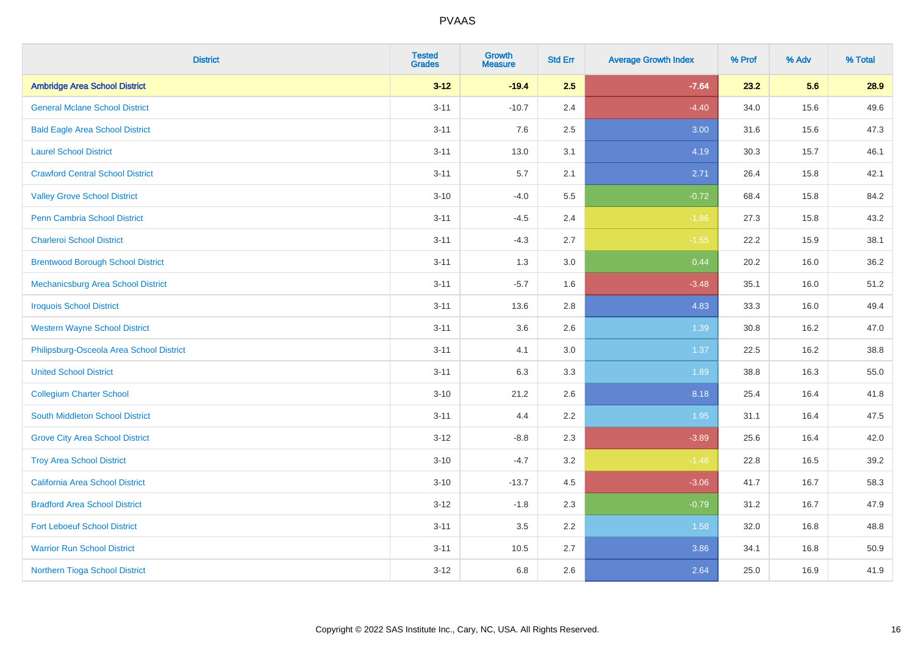| <b>District</b>                           | <b>Tested</b><br><b>Grades</b> | <b>Growth</b><br><b>Measure</b> | <b>Std Err</b> | <b>Average Growth Index</b> | % Prof | % Adv | % Total |
|-------------------------------------------|--------------------------------|---------------------------------|----------------|-----------------------------|--------|-------|---------|
| <b>Ambridge Area School District</b>      | $3 - 12$                       | $-19.4$                         | 2.5            | $-7.64$                     | 23.2   | 5.6   | 28.9    |
| <b>General Mclane School District</b>     | $3 - 11$                       | $-10.7$                         | 2.4            | $-4.40$                     | 34.0   | 15.6  | 49.6    |
| <b>Bald Eagle Area School District</b>    | $3 - 11$                       | 7.6                             | 2.5            | 3.00                        | 31.6   | 15.6  | 47.3    |
| <b>Laurel School District</b>             | $3 - 11$                       | 13.0                            | 3.1            | 4.19                        | 30.3   | 15.7  | 46.1    |
| <b>Crawford Central School District</b>   | $3 - 11$                       | 5.7                             | 2.1            | 2.71                        | 26.4   | 15.8  | 42.1    |
| <b>Valley Grove School District</b>       | $3 - 10$                       | $-4.0$                          | 5.5            | $-0.72$                     | 68.4   | 15.8  | 84.2    |
| Penn Cambria School District              | $3 - 11$                       | $-4.5$                          | 2.4            | $-1.86$                     | 27.3   | 15.8  | 43.2    |
| <b>Charleroi School District</b>          | $3 - 11$                       | $-4.3$                          | 2.7            | $-1.55$                     | 22.2   | 15.9  | 38.1    |
| <b>Brentwood Borough School District</b>  | $3 - 11$                       | 1.3                             | 3.0            | 0.44                        | 20.2   | 16.0  | 36.2    |
| <b>Mechanicsburg Area School District</b> | $3 - 11$                       | $-5.7$                          | 1.6            | $-3.48$                     | 35.1   | 16.0  | 51.2    |
| <b>Iroquois School District</b>           | $3 - 11$                       | 13.6                            | 2.8            | 4.83                        | 33.3   | 16.0  | 49.4    |
| <b>Western Wayne School District</b>      | $3 - 11$                       | 3.6                             | 2.6            | 1.39                        | 30.8   | 16.2  | 47.0    |
| Philipsburg-Osceola Area School District  | $3 - 11$                       | 4.1                             | 3.0            | 1.37                        | 22.5   | 16.2  | 38.8    |
| <b>United School District</b>             | $3 - 11$                       | 6.3                             | 3.3            | 1.89                        | 38.8   | 16.3  | 55.0    |
| <b>Collegium Charter School</b>           | $3 - 10$                       | 21.2                            | 2.6            | 8.18                        | 25.4   | 16.4  | 41.8    |
| South Middleton School District           | $3 - 11$                       | 4.4                             | 2.2            | 1.95                        | 31.1   | 16.4  | 47.5    |
| <b>Grove City Area School District</b>    | $3-12$                         | $-8.8$                          | 2.3            | $-3.89$                     | 25.6   | 16.4  | 42.0    |
| <b>Troy Area School District</b>          | $3 - 10$                       | $-4.7$                          | 3.2            | $-1.46$                     | 22.8   | 16.5  | 39.2    |
| <b>California Area School District</b>    | $3 - 10$                       | $-13.7$                         | 4.5            | $-3.06$                     | 41.7   | 16.7  | 58.3    |
| <b>Bradford Area School District</b>      | $3-12$                         | $-1.8$                          | 2.3            | $-0.79$                     | 31.2   | 16.7  | 47.9    |
| <b>Fort Leboeuf School District</b>       | $3 - 11$                       | 3.5                             | 2.2            | 1.58                        | 32.0   | 16.8  | 48.8    |
| <b>Warrior Run School District</b>        | $3 - 11$                       | 10.5                            | 2.7            | 3.86                        | 34.1   | 16.8  | 50.9    |
| Northern Tioga School District            | $3-12$                         | 6.8                             | 2.6            | 2.64                        | 25.0   | 16.9  | 41.9    |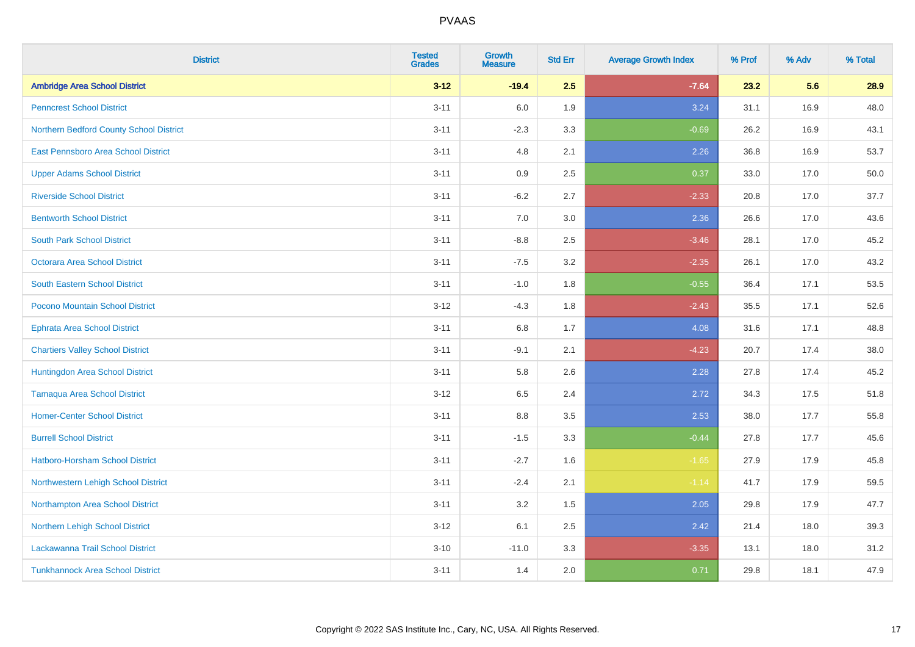| <b>District</b>                         | <b>Tested</b><br><b>Grades</b> | <b>Growth</b><br><b>Measure</b> | <b>Std Err</b> | <b>Average Growth Index</b> | % Prof | % Adv | % Total |
|-----------------------------------------|--------------------------------|---------------------------------|----------------|-----------------------------|--------|-------|---------|
| <b>Ambridge Area School District</b>    | $3 - 12$                       | $-19.4$                         | 2.5            | $-7.64$                     | 23.2   | 5.6   | 28.9    |
| <b>Penncrest School District</b>        | $3 - 11$                       | 6.0                             | 1.9            | 3.24                        | 31.1   | 16.9  | 48.0    |
| Northern Bedford County School District | $3 - 11$                       | $-2.3$                          | 3.3            | $-0.69$                     | 26.2   | 16.9  | 43.1    |
| East Pennsboro Area School District     | $3 - 11$                       | 4.8                             | 2.1            | 2.26                        | 36.8   | 16.9  | 53.7    |
| <b>Upper Adams School District</b>      | $3 - 11$                       | 0.9                             | 2.5            | 0.37                        | 33.0   | 17.0  | 50.0    |
| <b>Riverside School District</b>        | $3 - 11$                       | $-6.2$                          | 2.7            | $-2.33$                     | 20.8   | 17.0  | 37.7    |
| <b>Bentworth School District</b>        | $3 - 11$                       | 7.0                             | 3.0            | 2.36                        | 26.6   | 17.0  | 43.6    |
| <b>South Park School District</b>       | $3 - 11$                       | $-8.8$                          | 2.5            | $-3.46$                     | 28.1   | 17.0  | 45.2    |
| <b>Octorara Area School District</b>    | $3 - 11$                       | $-7.5$                          | 3.2            | $-2.35$                     | 26.1   | 17.0  | 43.2    |
| <b>South Eastern School District</b>    | $3 - 11$                       | $-1.0$                          | 1.8            | $-0.55$                     | 36.4   | 17.1  | 53.5    |
| Pocono Mountain School District         | $3 - 12$                       | $-4.3$                          | 1.8            | $-2.43$                     | 35.5   | 17.1  | 52.6    |
| <b>Ephrata Area School District</b>     | $3 - 11$                       | 6.8                             | 1.7            | 4.08                        | 31.6   | 17.1  | 48.8    |
| <b>Chartiers Valley School District</b> | $3 - 11$                       | $-9.1$                          | 2.1            | $-4.23$                     | 20.7   | 17.4  | 38.0    |
| Huntingdon Area School District         | $3 - 11$                       | 5.8                             | 2.6            | 2.28                        | 27.8   | 17.4  | 45.2    |
| <b>Tamaqua Area School District</b>     | $3-12$                         | 6.5                             | 2.4            | 2.72                        | 34.3   | 17.5  | 51.8    |
| <b>Homer-Center School District</b>     | $3 - 11$                       | 8.8                             | 3.5            | 2.53                        | 38.0   | 17.7  | 55.8    |
| <b>Burrell School District</b>          | $3 - 11$                       | $-1.5$                          | 3.3            | $-0.44$                     | 27.8   | 17.7  | 45.6    |
| Hatboro-Horsham School District         | $3 - 11$                       | $-2.7$                          | 1.6            | $-1.65$                     | 27.9   | 17.9  | 45.8    |
| Northwestern Lehigh School District     | $3 - 11$                       | $-2.4$                          | 2.1            | $-1.14$                     | 41.7   | 17.9  | 59.5    |
| Northampton Area School District        | $3 - 11$                       | 3.2                             | 1.5            | 2.05                        | 29.8   | 17.9  | 47.7    |
| Northern Lehigh School District         | $3 - 12$                       | 6.1                             | 2.5            | 2.42                        | 21.4   | 18.0  | 39.3    |
| Lackawanna Trail School District        | $3 - 10$                       | $-11.0$                         | 3.3            | $-3.35$                     | 13.1   | 18.0  | 31.2    |
| <b>Tunkhannock Area School District</b> | $3 - 11$                       | 1.4                             | 2.0            | 0.71                        | 29.8   | 18.1  | 47.9    |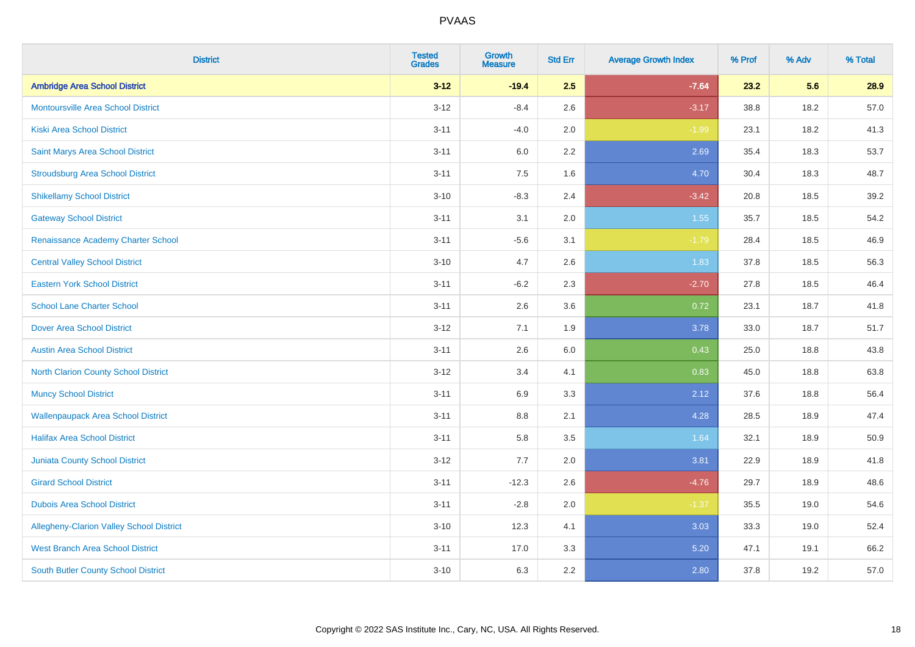| <b>District</b>                           | <b>Tested</b><br><b>Grades</b> | <b>Growth</b><br><b>Measure</b> | <b>Std Err</b> | <b>Average Growth Index</b> | % Prof | % Adv | % Total |
|-------------------------------------------|--------------------------------|---------------------------------|----------------|-----------------------------|--------|-------|---------|
| <b>Ambridge Area School District</b>      | $3 - 12$                       | $-19.4$                         | 2.5            | $-7.64$                     | 23.2   | 5.6   | 28.9    |
| <b>Montoursville Area School District</b> | $3 - 12$                       | $-8.4$                          | 2.6            | $-3.17$                     | 38.8   | 18.2  | 57.0    |
| <b>Kiski Area School District</b>         | $3 - 11$                       | $-4.0$                          | 2.0            | $-1.99$                     | 23.1   | 18.2  | 41.3    |
| Saint Marys Area School District          | $3 - 11$                       | 6.0                             | $2.2\,$        | 2.69                        | 35.4   | 18.3  | 53.7    |
| <b>Stroudsburg Area School District</b>   | $3 - 11$                       | 7.5                             | 1.6            | 4.70                        | 30.4   | 18.3  | 48.7    |
| <b>Shikellamy School District</b>         | $3 - 10$                       | $-8.3$                          | 2.4            | $-3.42$                     | 20.8   | 18.5  | 39.2    |
| <b>Gateway School District</b>            | $3 - 11$                       | 3.1                             | 2.0            | 1.55                        | 35.7   | 18.5  | 54.2    |
| Renaissance Academy Charter School        | $3 - 11$                       | $-5.6$                          | 3.1            | $-1.79$                     | 28.4   | 18.5  | 46.9    |
| <b>Central Valley School District</b>     | $3 - 10$                       | 4.7                             | 2.6            | 1.83                        | 37.8   | 18.5  | 56.3    |
| <b>Eastern York School District</b>       | $3 - 11$                       | $-6.2$                          | 2.3            | $-2.70$                     | 27.8   | 18.5  | 46.4    |
| <b>School Lane Charter School</b>         | $3 - 11$                       | 2.6                             | 3.6            | 0.72                        | 23.1   | 18.7  | 41.8    |
| <b>Dover Area School District</b>         | $3 - 12$                       | 7.1                             | 1.9            | 3.78                        | 33.0   | 18.7  | 51.7    |
| <b>Austin Area School District</b>        | $3 - 11$                       | 2.6                             | 6.0            | 0.43                        | 25.0   | 18.8  | 43.8    |
| North Clarion County School District      | $3-12$                         | 3.4                             | 4.1            | 0.83                        | 45.0   | 18.8  | 63.8    |
| <b>Muncy School District</b>              | $3 - 11$                       | 6.9                             | 3.3            | 2.12                        | 37.6   | 18.8  | 56.4    |
| <b>Wallenpaupack Area School District</b> | $3 - 11$                       | 8.8                             | 2.1            | 4.28                        | 28.5   | 18.9  | 47.4    |
| <b>Halifax Area School District</b>       | $3 - 11$                       | 5.8                             | 3.5            | 1.64                        | 32.1   | 18.9  | 50.9    |
| <b>Juniata County School District</b>     | $3-12$                         | 7.7                             | 2.0            | 3.81                        | 22.9   | 18.9  | 41.8    |
| <b>Girard School District</b>             | $3 - 11$                       | $-12.3$                         | 2.6            | $-4.76$                     | 29.7   | 18.9  | 48.6    |
| <b>Dubois Area School District</b>        | $3 - 11$                       | $-2.8$                          | 2.0            | $-1.37$                     | 35.5   | 19.0  | 54.6    |
| Allegheny-Clarion Valley School District  | $3 - 10$                       | 12.3                            | 4.1            | 3.03                        | 33.3   | 19.0  | 52.4    |
| <b>West Branch Area School District</b>   | $3 - 11$                       | 17.0                            | 3.3            | 5.20                        | 47.1   | 19.1  | 66.2    |
| South Butler County School District       | $3 - 10$                       | 6.3                             | 2.2            | 2.80                        | 37.8   | 19.2  | 57.0    |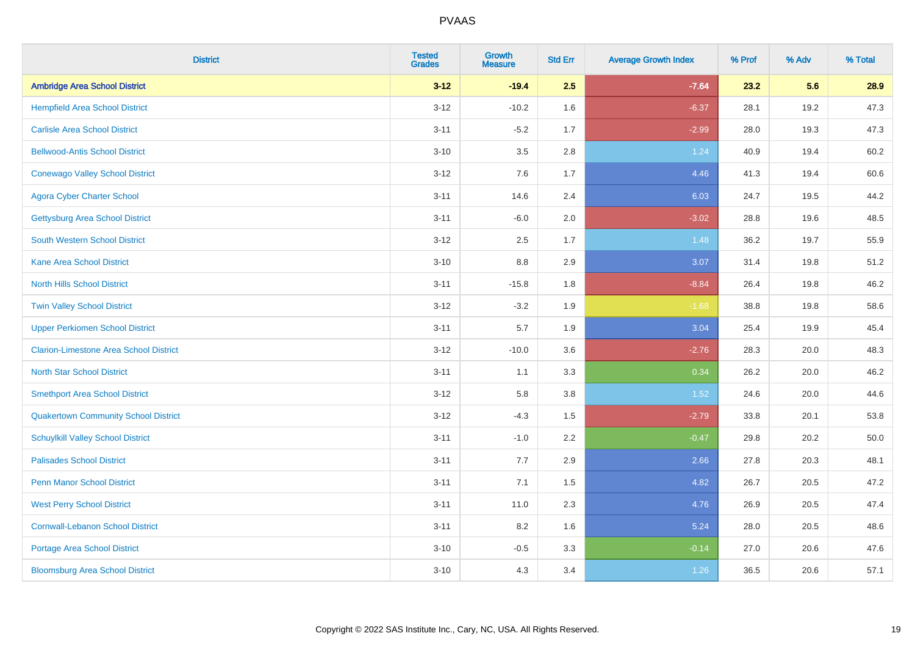| <b>District</b>                               | <b>Tested</b><br><b>Grades</b> | <b>Growth</b><br><b>Measure</b> | <b>Std Err</b> | <b>Average Growth Index</b> | % Prof | % Adv | % Total  |
|-----------------------------------------------|--------------------------------|---------------------------------|----------------|-----------------------------|--------|-------|----------|
| <b>Ambridge Area School District</b>          | $3 - 12$                       | $-19.4$                         | 2.5            | $-7.64$                     | 23.2   | 5.6   | 28.9     |
| <b>Hempfield Area School District</b>         | $3 - 12$                       | $-10.2$                         | 1.6            | $-6.37$                     | 28.1   | 19.2  | 47.3     |
| <b>Carlisle Area School District</b>          | $3 - 11$                       | $-5.2$                          | 1.7            | $-2.99$                     | 28.0   | 19.3  | 47.3     |
| <b>Bellwood-Antis School District</b>         | $3 - 10$                       | 3.5                             | 2.8            | 1.24                        | 40.9   | 19.4  | 60.2     |
| <b>Conewago Valley School District</b>        | $3 - 12$                       | 7.6                             | 1.7            | 4.46                        | 41.3   | 19.4  | 60.6     |
| <b>Agora Cyber Charter School</b>             | $3 - 11$                       | 14.6                            | 2.4            | 6.03                        | 24.7   | 19.5  | 44.2     |
| <b>Gettysburg Area School District</b>        | $3 - 11$                       | $-6.0$                          | 2.0            | $-3.02$                     | 28.8   | 19.6  | 48.5     |
| <b>South Western School District</b>          | $3 - 12$                       | 2.5                             | 1.7            | 1.48                        | 36.2   | 19.7  | 55.9     |
| <b>Kane Area School District</b>              | $3 - 10$                       | 8.8                             | 2.9            | 3.07                        | 31.4   | 19.8  | 51.2     |
| <b>North Hills School District</b>            | $3 - 11$                       | $-15.8$                         | 1.8            | $-8.84$                     | 26.4   | 19.8  | 46.2     |
| <b>Twin Valley School District</b>            | $3 - 12$                       | $-3.2$                          | 1.9            | $-1.68$                     | 38.8   | 19.8  | 58.6     |
| <b>Upper Perkiomen School District</b>        | $3 - 11$                       | 5.7                             | 1.9            | 3.04                        | 25.4   | 19.9  | 45.4     |
| <b>Clarion-Limestone Area School District</b> | $3 - 12$                       | $-10.0$                         | 3.6            | $-2.76$                     | 28.3   | 20.0  | 48.3     |
| <b>North Star School District</b>             | $3 - 11$                       | 1.1                             | 3.3            | 0.34                        | 26.2   | 20.0  | 46.2     |
| <b>Smethport Area School District</b>         | $3-12$                         | 5.8                             | 3.8            | 1.52                        | 24.6   | 20.0  | 44.6     |
| <b>Quakertown Community School District</b>   | $3 - 12$                       | $-4.3$                          | 1.5            | $-2.79$                     | 33.8   | 20.1  | 53.8     |
| <b>Schuylkill Valley School District</b>      | $3 - 11$                       | $-1.0$                          | 2.2            | $-0.47$                     | 29.8   | 20.2  | $50.0\,$ |
| <b>Palisades School District</b>              | $3 - 11$                       | 7.7                             | 2.9            | 2.66                        | 27.8   | 20.3  | 48.1     |
| <b>Penn Manor School District</b>             | $3 - 11$                       | 7.1                             | 1.5            | 4.82                        | 26.7   | 20.5  | 47.2     |
| <b>West Perry School District</b>             | $3 - 11$                       | 11.0                            | 2.3            | 4.76                        | 26.9   | 20.5  | 47.4     |
| <b>Cornwall-Lebanon School District</b>       | $3 - 11$                       | 8.2                             | 1.6            | 5.24                        | 28.0   | 20.5  | 48.6     |
| <b>Portage Area School District</b>           | $3 - 10$                       | $-0.5$                          | 3.3            | $-0.14$                     | 27.0   | 20.6  | 47.6     |
| <b>Bloomsburg Area School District</b>        | $3 - 10$                       | 4.3                             | 3.4            | 1.26                        | 36.5   | 20.6  | 57.1     |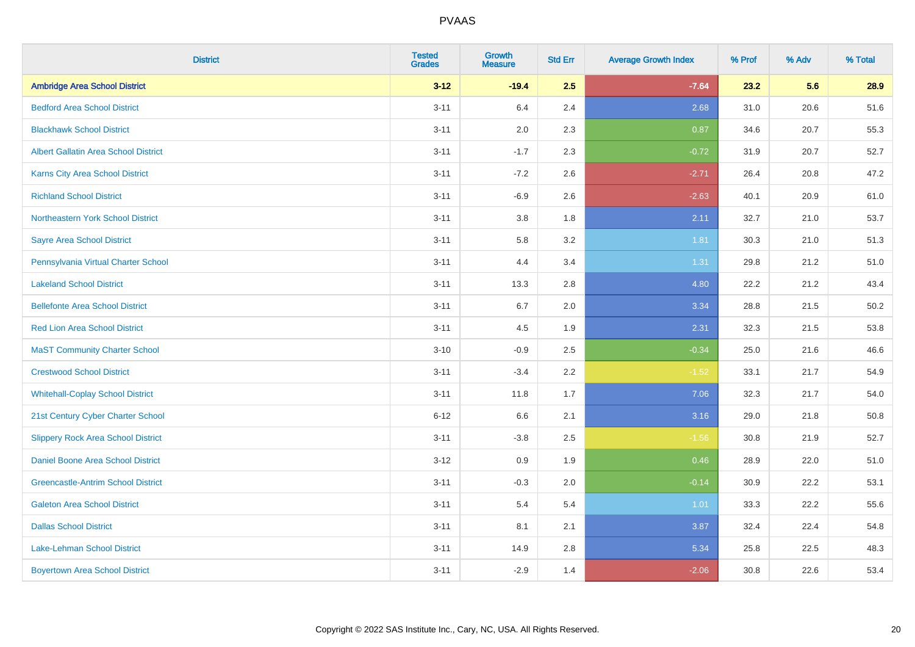| <b>District</b>                             | <b>Tested</b><br><b>Grades</b> | <b>Growth</b><br><b>Measure</b> | <b>Std Err</b> | <b>Average Growth Index</b> | % Prof | % Adv | % Total |
|---------------------------------------------|--------------------------------|---------------------------------|----------------|-----------------------------|--------|-------|---------|
| <b>Ambridge Area School District</b>        | $3 - 12$                       | $-19.4$                         | 2.5            | $-7.64$                     | 23.2   | 5.6   | 28.9    |
| <b>Bedford Area School District</b>         | $3 - 11$                       | 6.4                             | 2.4            | 2.68                        | 31.0   | 20.6  | 51.6    |
| <b>Blackhawk School District</b>            | $3 - 11$                       | 2.0                             | 2.3            | 0.87                        | 34.6   | 20.7  | 55.3    |
| <b>Albert Gallatin Area School District</b> | $3 - 11$                       | $-1.7$                          | 2.3            | $-0.72$                     | 31.9   | 20.7  | 52.7    |
| <b>Karns City Area School District</b>      | $3 - 11$                       | $-7.2$                          | 2.6            | $-2.71$                     | 26.4   | 20.8  | 47.2    |
| <b>Richland School District</b>             | $3 - 11$                       | $-6.9$                          | 2.6            | $-2.63$                     | 40.1   | 20.9  | 61.0    |
| Northeastern York School District           | $3 - 11$                       | 3.8                             | 1.8            | 2.11                        | 32.7   | 21.0  | 53.7    |
| <b>Sayre Area School District</b>           | $3 - 11$                       | 5.8                             | 3.2            | 1.81                        | 30.3   | 21.0  | 51.3    |
| Pennsylvania Virtual Charter School         | $3 - 11$                       | 4.4                             | 3.4            | 1.31                        | 29.8   | 21.2  | 51.0    |
| <b>Lakeland School District</b>             | $3 - 11$                       | 13.3                            | 2.8            | 4.80                        | 22.2   | 21.2  | 43.4    |
| <b>Bellefonte Area School District</b>      | $3 - 11$                       | 6.7                             | 2.0            | 3.34                        | 28.8   | 21.5  | 50.2    |
| <b>Red Lion Area School District</b>        | $3 - 11$                       | 4.5                             | 1.9            | 2.31                        | 32.3   | 21.5  | 53.8    |
| <b>MaST Community Charter School</b>        | $3 - 10$                       | $-0.9$                          | 2.5            | $-0.34$                     | 25.0   | 21.6  | 46.6    |
| <b>Crestwood School District</b>            | $3 - 11$                       | $-3.4$                          | 2.2            | $-1.52$                     | 33.1   | 21.7  | 54.9    |
| <b>Whitehall-Coplay School District</b>     | $3 - 11$                       | 11.8                            | 1.7            | 7.06                        | 32.3   | 21.7  | 54.0    |
| 21st Century Cyber Charter School           | $6 - 12$                       | 6.6                             | 2.1            | 3.16                        | 29.0   | 21.8  | 50.8    |
| <b>Slippery Rock Area School District</b>   | $3 - 11$                       | $-3.8$                          | 2.5            | $-1.56$                     | 30.8   | 21.9  | 52.7    |
| Daniel Boone Area School District           | $3-12$                         | 0.9                             | 1.9            | 0.46                        | 28.9   | 22.0  | 51.0    |
| <b>Greencastle-Antrim School District</b>   | $3 - 11$                       | $-0.3$                          | 2.0            | $-0.14$                     | 30.9   | 22.2  | 53.1    |
| <b>Galeton Area School District</b>         | $3 - 11$                       | 5.4                             | 5.4            | 1.01                        | 33.3   | 22.2  | 55.6    |
| <b>Dallas School District</b>               | $3 - 11$                       | 8.1                             | 2.1            | 3.87                        | 32.4   | 22.4  | 54.8    |
| Lake-Lehman School District                 | $3 - 11$                       | 14.9                            | 2.8            | 5.34                        | 25.8   | 22.5  | 48.3    |
| <b>Boyertown Area School District</b>       | $3 - 11$                       | $-2.9$                          | 1.4            | $-2.06$                     | 30.8   | 22.6  | 53.4    |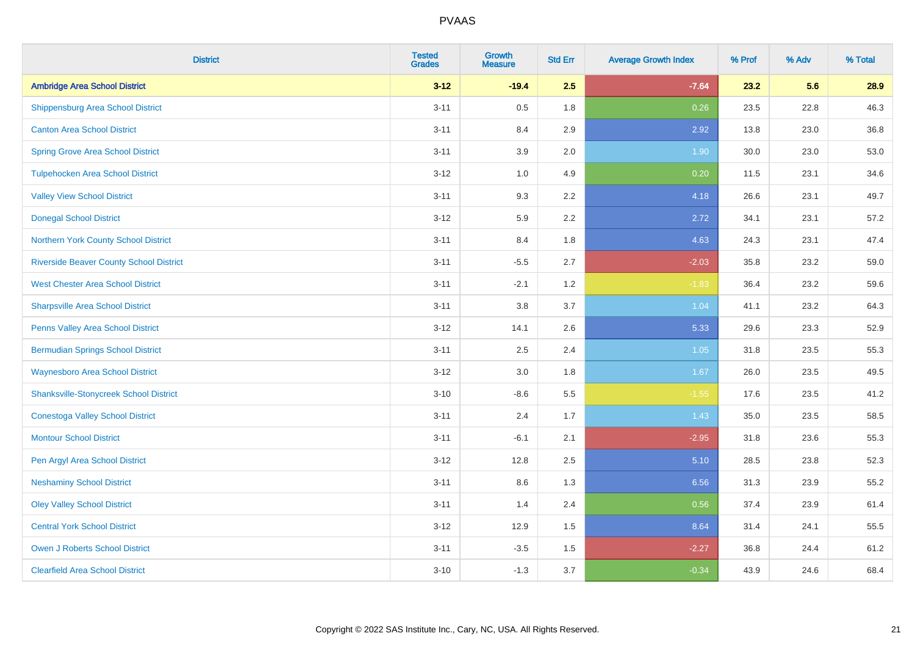| <b>District</b>                                | <b>Tested</b><br><b>Grades</b> | <b>Growth</b><br><b>Measure</b> | <b>Std Err</b> | <b>Average Growth Index</b> | % Prof | % Adv | % Total |
|------------------------------------------------|--------------------------------|---------------------------------|----------------|-----------------------------|--------|-------|---------|
| <b>Ambridge Area School District</b>           | $3 - 12$                       | $-19.4$                         | 2.5            | $-7.64$                     | 23.2   | 5.6   | 28.9    |
| <b>Shippensburg Area School District</b>       | $3 - 11$                       | 0.5                             | 1.8            | 0.26                        | 23.5   | 22.8  | 46.3    |
| <b>Canton Area School District</b>             | $3 - 11$                       | 8.4                             | 2.9            | 2.92                        | 13.8   | 23.0  | 36.8    |
| <b>Spring Grove Area School District</b>       | $3 - 11$                       | 3.9                             | 2.0            | 1.90                        | 30.0   | 23.0  | 53.0    |
| <b>Tulpehocken Area School District</b>        | $3 - 12$                       | 1.0                             | 4.9            | 0.20                        | 11.5   | 23.1  | 34.6    |
| <b>Valley View School District</b>             | $3 - 11$                       | 9.3                             | 2.2            | 4.18                        | 26.6   | 23.1  | 49.7    |
| <b>Donegal School District</b>                 | $3 - 12$                       | 5.9                             | 2.2            | 2.72                        | 34.1   | 23.1  | 57.2    |
| Northern York County School District           | $3 - 11$                       | 8.4                             | 1.8            | 4.63                        | 24.3   | 23.1  | 47.4    |
| <b>Riverside Beaver County School District</b> | $3 - 11$                       | $-5.5$                          | 2.7            | $-2.03$                     | 35.8   | 23.2  | 59.0    |
| <b>West Chester Area School District</b>       | $3 - 11$                       | $-2.1$                          | 1.2            | $-1.83$                     | 36.4   | 23.2  | 59.6    |
| <b>Sharpsville Area School District</b>        | $3 - 11$                       | 3.8                             | 3.7            | 1.04                        | 41.1   | 23.2  | 64.3    |
| Penns Valley Area School District              | $3 - 12$                       | 14.1                            | 2.6            | 5.33                        | 29.6   | 23.3  | 52.9    |
| <b>Bermudian Springs School District</b>       | $3 - 11$                       | 2.5                             | 2.4            | 1.05                        | 31.8   | 23.5  | 55.3    |
| <b>Waynesboro Area School District</b>         | $3-12$                         | 3.0                             | 1.8            | 1.67                        | 26.0   | 23.5  | 49.5    |
| <b>Shanksville-Stonycreek School District</b>  | $3 - 10$                       | $-8.6$                          | 5.5            | $-1.55$                     | 17.6   | 23.5  | 41.2    |
| <b>Conestoga Valley School District</b>        | $3 - 11$                       | 2.4                             | 1.7            | 1.43                        | 35.0   | 23.5  | 58.5    |
| <b>Montour School District</b>                 | $3 - 11$                       | $-6.1$                          | 2.1            | $-2.95$                     | 31.8   | 23.6  | 55.3    |
| Pen Argyl Area School District                 | $3-12$                         | 12.8                            | 2.5            | 5.10                        | 28.5   | 23.8  | 52.3    |
| <b>Neshaminy School District</b>               | $3 - 11$                       | 8.6                             | 1.3            | 6.56                        | 31.3   | 23.9  | 55.2    |
| <b>Oley Valley School District</b>             | $3 - 11$                       | 1.4                             | 2.4            | 0.56                        | 37.4   | 23.9  | 61.4    |
| <b>Central York School District</b>            | $3 - 12$                       | 12.9                            | 1.5            | 8.64                        | 31.4   | 24.1  | 55.5    |
| <b>Owen J Roberts School District</b>          | $3 - 11$                       | $-3.5$                          | 1.5            | $-2.27$                     | 36.8   | 24.4  | 61.2    |
| <b>Clearfield Area School District</b>         | $3 - 10$                       | $-1.3$                          | 3.7            | $-0.34$                     | 43.9   | 24.6  | 68.4    |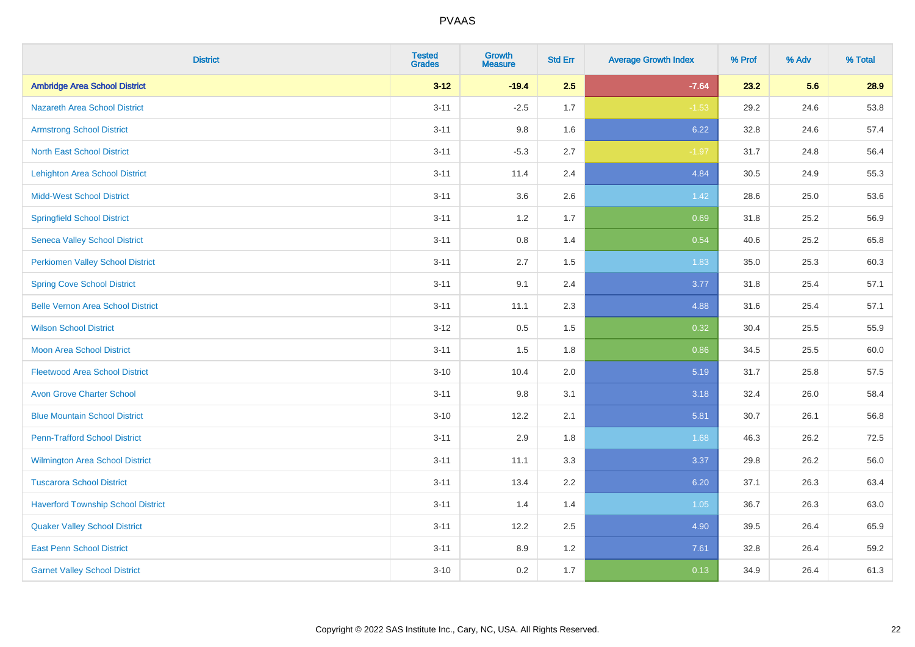| <b>District</b>                           | <b>Tested</b><br><b>Grades</b> | <b>Growth</b><br><b>Measure</b> | <b>Std Err</b> | <b>Average Growth Index</b> | % Prof | % Adv | % Total |
|-------------------------------------------|--------------------------------|---------------------------------|----------------|-----------------------------|--------|-------|---------|
| <b>Ambridge Area School District</b>      | $3 - 12$                       | $-19.4$                         | 2.5            | $-7.64$                     | 23.2   | 5.6   | 28.9    |
| <b>Nazareth Area School District</b>      | $3 - 11$                       | $-2.5$                          | 1.7            | $-1.53$                     | 29.2   | 24.6  | 53.8    |
| <b>Armstrong School District</b>          | $3 - 11$                       | 9.8                             | 1.6            | 6.22                        | 32.8   | 24.6  | 57.4    |
| <b>North East School District</b>         | $3 - 11$                       | $-5.3$                          | 2.7            | $-1.97$                     | 31.7   | 24.8  | 56.4    |
| <b>Lehighton Area School District</b>     | $3 - 11$                       | 11.4                            | 2.4            | 4.84                        | 30.5   | 24.9  | 55.3    |
| <b>Midd-West School District</b>          | $3 - 11$                       | 3.6                             | 2.6            | 1.42                        | 28.6   | 25.0  | 53.6    |
| <b>Springfield School District</b>        | $3 - 11$                       | $1.2$                           | 1.7            | 0.69                        | 31.8   | 25.2  | 56.9    |
| <b>Seneca Valley School District</b>      | $3 - 11$                       | 0.8                             | 1.4            | 0.54                        | 40.6   | 25.2  | 65.8    |
| <b>Perkiomen Valley School District</b>   | $3 - 11$                       | 2.7                             | 1.5            | 1.83                        | 35.0   | 25.3  | 60.3    |
| <b>Spring Cove School District</b>        | $3 - 11$                       | 9.1                             | 2.4            | 3.77                        | 31.8   | 25.4  | 57.1    |
| <b>Belle Vernon Area School District</b>  | $3 - 11$                       | 11.1                            | 2.3            | 4.88                        | 31.6   | 25.4  | 57.1    |
| <b>Wilson School District</b>             | $3 - 12$                       | 0.5                             | 1.5            | 0.32                        | 30.4   | 25.5  | 55.9    |
| Moon Area School District                 | $3 - 11$                       | 1.5                             | 1.8            | 0.86                        | 34.5   | 25.5  | 60.0    |
| <b>Fleetwood Area School District</b>     | $3 - 10$                       | 10.4                            | 2.0            | 5.19                        | 31.7   | 25.8  | 57.5    |
| <b>Avon Grove Charter School</b>          | $3 - 11$                       | 9.8                             | 3.1            | 3.18                        | 32.4   | 26.0  | 58.4    |
| <b>Blue Mountain School District</b>      | $3 - 10$                       | 12.2                            | 2.1            | 5.81                        | 30.7   | 26.1  | 56.8    |
| <b>Penn-Trafford School District</b>      | $3 - 11$                       | 2.9                             | 1.8            | 1.68                        | 46.3   | 26.2  | 72.5    |
| Wilmington Area School District           | $3 - 11$                       | 11.1                            | 3.3            | 3.37                        | 29.8   | 26.2  | 56.0    |
| <b>Tuscarora School District</b>          | $3 - 11$                       | 13.4                            | 2.2            | 6.20                        | 37.1   | 26.3  | 63.4    |
| <b>Haverford Township School District</b> | $3 - 11$                       | 1.4                             | 1.4            | 1.05                        | 36.7   | 26.3  | 63.0    |
| <b>Quaker Valley School District</b>      | $3 - 11$                       | 12.2                            | 2.5            | 4.90                        | 39.5   | 26.4  | 65.9    |
| <b>East Penn School District</b>          | $3 - 11$                       | 8.9                             | 1.2            | 7.61                        | 32.8   | 26.4  | 59.2    |
| <b>Garnet Valley School District</b>      | $3 - 10$                       | 0.2                             | 1.7            | 0.13                        | 34.9   | 26.4  | 61.3    |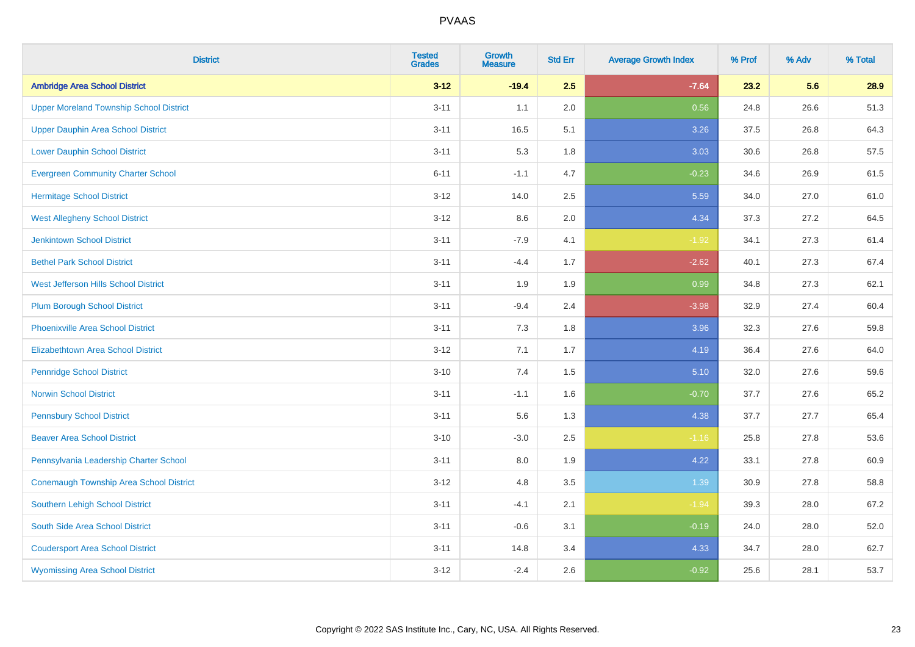| <b>District</b>                                | <b>Tested</b><br><b>Grades</b> | <b>Growth</b><br><b>Measure</b> | <b>Std Err</b> | <b>Average Growth Index</b> | % Prof | % Adv | % Total |
|------------------------------------------------|--------------------------------|---------------------------------|----------------|-----------------------------|--------|-------|---------|
| <b>Ambridge Area School District</b>           | $3 - 12$                       | $-19.4$                         | 2.5            | $-7.64$                     | 23.2   | 5.6   | 28.9    |
| <b>Upper Moreland Township School District</b> | $3 - 11$                       | 1.1                             | 2.0            | 0.56                        | 24.8   | 26.6  | 51.3    |
| <b>Upper Dauphin Area School District</b>      | $3 - 11$                       | 16.5                            | 5.1            | 3.26                        | 37.5   | 26.8  | 64.3    |
| <b>Lower Dauphin School District</b>           | $3 - 11$                       | 5.3                             | 1.8            | 3.03                        | 30.6   | 26.8  | 57.5    |
| <b>Evergreen Community Charter School</b>      | $6 - 11$                       | $-1.1$                          | 4.7            | $-0.23$                     | 34.6   | 26.9  | 61.5    |
| <b>Hermitage School District</b>               | $3 - 12$                       | 14.0                            | 2.5            | 5.59                        | 34.0   | 27.0  | 61.0    |
| <b>West Allegheny School District</b>          | $3 - 12$                       | 8.6                             | 2.0            | 4.34                        | 37.3   | 27.2  | 64.5    |
| <b>Jenkintown School District</b>              | $3 - 11$                       | $-7.9$                          | 4.1            | $-1.92$                     | 34.1   | 27.3  | 61.4    |
| <b>Bethel Park School District</b>             | $3 - 11$                       | $-4.4$                          | 1.7            | $-2.62$                     | 40.1   | 27.3  | 67.4    |
| <b>West Jefferson Hills School District</b>    | $3 - 11$                       | 1.9                             | 1.9            | 0.99                        | 34.8   | 27.3  | 62.1    |
| <b>Plum Borough School District</b>            | $3 - 11$                       | $-9.4$                          | 2.4            | $-3.98$                     | 32.9   | 27.4  | 60.4    |
| <b>Phoenixville Area School District</b>       | $3 - 11$                       | 7.3                             | 1.8            | 3.96                        | 32.3   | 27.6  | 59.8    |
| Elizabethtown Area School District             | $3 - 12$                       | 7.1                             | 1.7            | 4.19                        | 36.4   | 27.6  | 64.0    |
| <b>Pennridge School District</b>               | $3 - 10$                       | 7.4                             | 1.5            | 5.10                        | 32.0   | 27.6  | 59.6    |
| <b>Norwin School District</b>                  | $3 - 11$                       | $-1.1$                          | 1.6            | $-0.70$                     | 37.7   | 27.6  | 65.2    |
| <b>Pennsbury School District</b>               | $3 - 11$                       | 5.6                             | 1.3            | 4.38                        | 37.7   | 27.7  | 65.4    |
| <b>Beaver Area School District</b>             | $3 - 10$                       | $-3.0$                          | 2.5            | $-1.16$                     | 25.8   | 27.8  | 53.6    |
| Pennsylvania Leadership Charter School         | $3 - 11$                       | 8.0                             | 1.9            | 4.22                        | 33.1   | 27.8  | 60.9    |
| <b>Conemaugh Township Area School District</b> | $3 - 12$                       | 4.8                             | 3.5            | 1.39                        | 30.9   | 27.8  | 58.8    |
| Southern Lehigh School District                | $3 - 11$                       | $-4.1$                          | 2.1            | $-1.94$                     | 39.3   | 28.0  | 67.2    |
| South Side Area School District                | $3 - 11$                       | $-0.6$                          | 3.1            | $-0.19$                     | 24.0   | 28.0  | 52.0    |
| <b>Coudersport Area School District</b>        | $3 - 11$                       | 14.8                            | 3.4            | 4.33                        | 34.7   | 28.0  | 62.7    |
| <b>Wyomissing Area School District</b>         | $3 - 12$                       | $-2.4$                          | 2.6            | $-0.92$                     | 25.6   | 28.1  | 53.7    |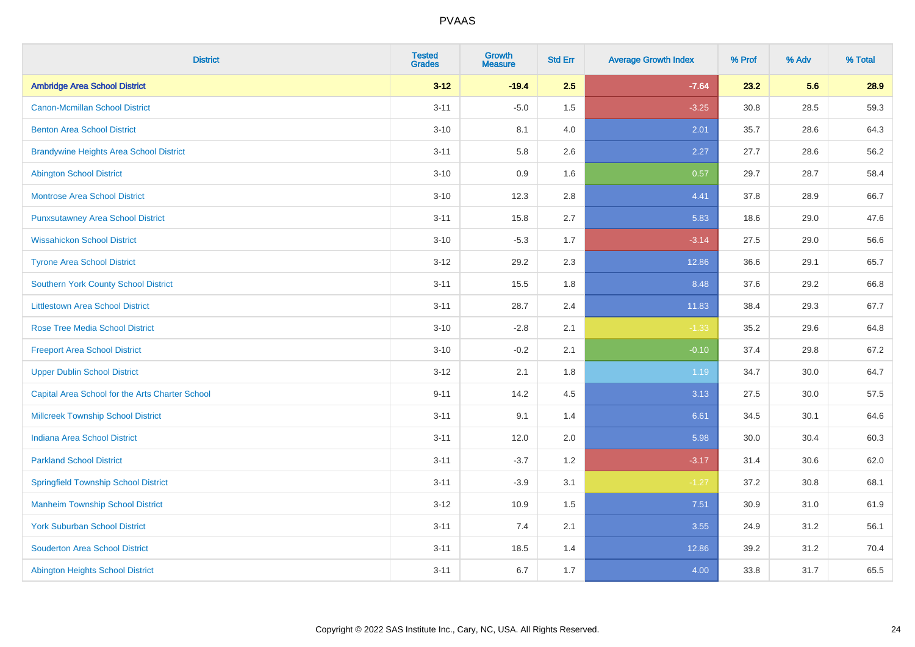| <b>District</b>                                 | <b>Tested</b><br><b>Grades</b> | <b>Growth</b><br><b>Measure</b> | <b>Std Err</b> | <b>Average Growth Index</b> | % Prof | % Adv | % Total |
|-------------------------------------------------|--------------------------------|---------------------------------|----------------|-----------------------------|--------|-------|---------|
| <b>Ambridge Area School District</b>            | $3 - 12$                       | $-19.4$                         | 2.5            | $-7.64$                     | 23.2   | 5.6   | 28.9    |
| <b>Canon-Mcmillan School District</b>           | $3 - 11$                       | $-5.0$                          | 1.5            | $-3.25$                     | 30.8   | 28.5  | 59.3    |
| <b>Benton Area School District</b>              | $3 - 10$                       | 8.1                             | 4.0            | 2.01                        | 35.7   | 28.6  | 64.3    |
| <b>Brandywine Heights Area School District</b>  | $3 - 11$                       | 5.8                             | 2.6            | 2.27                        | 27.7   | 28.6  | 56.2    |
| <b>Abington School District</b>                 | $3 - 10$                       | 0.9                             | 1.6            | 0.57                        | 29.7   | 28.7  | 58.4    |
| <b>Montrose Area School District</b>            | $3 - 10$                       | 12.3                            | 2.8            | 4.41                        | 37.8   | 28.9  | 66.7    |
| <b>Punxsutawney Area School District</b>        | $3 - 11$                       | 15.8                            | 2.7            | 5.83                        | 18.6   | 29.0  | 47.6    |
| <b>Wissahickon School District</b>              | $3 - 10$                       | $-5.3$                          | 1.7            | $-3.14$                     | 27.5   | 29.0  | 56.6    |
| <b>Tyrone Area School District</b>              | $3 - 12$                       | 29.2                            | 2.3            | 12.86                       | 36.6   | 29.1  | 65.7    |
| <b>Southern York County School District</b>     | $3 - 11$                       | 15.5                            | 1.8            | 8.48                        | 37.6   | 29.2  | 66.8    |
| <b>Littlestown Area School District</b>         | $3 - 11$                       | 28.7                            | 2.4            | 11.83                       | 38.4   | 29.3  | 67.7    |
| <b>Rose Tree Media School District</b>          | $3 - 10$                       | $-2.8$                          | 2.1            | $-1.33$                     | 35.2   | 29.6  | 64.8    |
| <b>Freeport Area School District</b>            | $3 - 10$                       | $-0.2$                          | 2.1            | $-0.10$                     | 37.4   | 29.8  | 67.2    |
| <b>Upper Dublin School District</b>             | $3 - 12$                       | 2.1                             | 1.8            | 1.19                        | 34.7   | 30.0  | 64.7    |
| Capital Area School for the Arts Charter School | $9 - 11$                       | 14.2                            | 4.5            | 3.13                        | 27.5   | 30.0  | 57.5    |
| <b>Millcreek Township School District</b>       | $3 - 11$                       | 9.1                             | 1.4            | 6.61                        | 34.5   | 30.1  | 64.6    |
| <b>Indiana Area School District</b>             | $3 - 11$                       | 12.0                            | 2.0            | 5.98                        | 30.0   | 30.4  | 60.3    |
| <b>Parkland School District</b>                 | $3 - 11$                       | $-3.7$                          | 1.2            | $-3.17$                     | 31.4   | 30.6  | 62.0    |
| <b>Springfield Township School District</b>     | $3 - 11$                       | $-3.9$                          | 3.1            | $-1.27$                     | 37.2   | 30.8  | 68.1    |
| <b>Manheim Township School District</b>         | $3 - 12$                       | 10.9                            | 1.5            | 7.51                        | 30.9   | 31.0  | 61.9    |
| <b>York Suburban School District</b>            | $3 - 11$                       | 7.4                             | 2.1            | 3.55                        | 24.9   | 31.2  | 56.1    |
| <b>Souderton Area School District</b>           | $3 - 11$                       | 18.5                            | 1.4            | 12.86                       | 39.2   | 31.2  | 70.4    |
| Abington Heights School District                | $3 - 11$                       | 6.7                             | 1.7            | 4.00                        | 33.8   | 31.7  | 65.5    |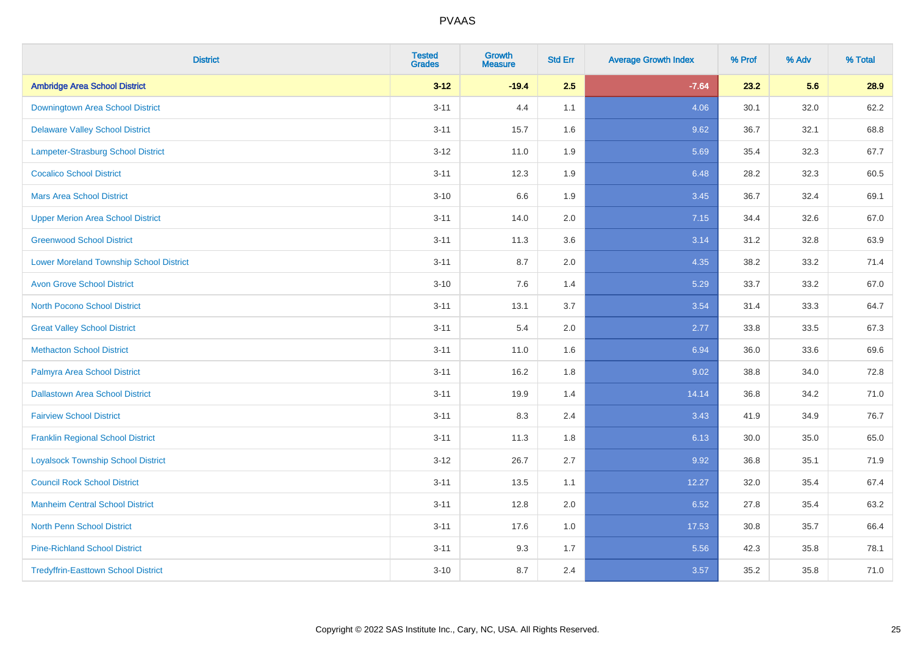| <b>District</b>                                | <b>Tested</b><br><b>Grades</b> | <b>Growth</b><br><b>Measure</b> | <b>Std Err</b> | <b>Average Growth Index</b> | % Prof | % Adv | % Total |
|------------------------------------------------|--------------------------------|---------------------------------|----------------|-----------------------------|--------|-------|---------|
| <b>Ambridge Area School District</b>           | $3 - 12$                       | $-19.4$                         | 2.5            | $-7.64$                     | 23.2   | 5.6   | 28.9    |
| Downingtown Area School District               | $3 - 11$                       | 4.4                             | 1.1            | 4.06                        | 30.1   | 32.0  | 62.2    |
| <b>Delaware Valley School District</b>         | $3 - 11$                       | 15.7                            | 1.6            | 9.62                        | 36.7   | 32.1  | 68.8    |
| Lampeter-Strasburg School District             | $3 - 12$                       | 11.0                            | 1.9            | 5.69                        | 35.4   | 32.3  | 67.7    |
| <b>Cocalico School District</b>                | $3 - 11$                       | 12.3                            | 1.9            | 6.48                        | 28.2   | 32.3  | 60.5    |
| <b>Mars Area School District</b>               | $3 - 10$                       | 6.6                             | 1.9            | 3.45                        | 36.7   | 32.4  | 69.1    |
| <b>Upper Merion Area School District</b>       | $3 - 11$                       | 14.0                            | 2.0            | 7.15                        | 34.4   | 32.6  | 67.0    |
| <b>Greenwood School District</b>               | $3 - 11$                       | 11.3                            | 3.6            | 3.14                        | 31.2   | 32.8  | 63.9    |
| <b>Lower Moreland Township School District</b> | $3 - 11$                       | 8.7                             | 2.0            | 4.35                        | 38.2   | 33.2  | 71.4    |
| <b>Avon Grove School District</b>              | $3 - 10$                       | 7.6                             | 1.4            | 5.29                        | 33.7   | 33.2  | 67.0    |
| <b>North Pocono School District</b>            | $3 - 11$                       | 13.1                            | 3.7            | 3.54                        | 31.4   | 33.3  | 64.7    |
| <b>Great Valley School District</b>            | $3 - 11$                       | 5.4                             | 2.0            | 2.77                        | 33.8   | 33.5  | 67.3    |
| <b>Methacton School District</b>               | $3 - 11$                       | 11.0                            | 1.6            | 6.94                        | 36.0   | 33.6  | 69.6    |
| Palmyra Area School District                   | $3 - 11$                       | 16.2                            | 1.8            | 9.02                        | 38.8   | 34.0  | 72.8    |
| <b>Dallastown Area School District</b>         | $3 - 11$                       | 19.9                            | 1.4            | 14.14                       | 36.8   | 34.2  | 71.0    |
| <b>Fairview School District</b>                | $3 - 11$                       | 8.3                             | 2.4            | 3.43                        | 41.9   | 34.9  | 76.7    |
| <b>Franklin Regional School District</b>       | $3 - 11$                       | 11.3                            | 1.8            | 6.13                        | 30.0   | 35.0  | 65.0    |
| <b>Loyalsock Township School District</b>      | $3 - 12$                       | 26.7                            | 2.7            | 9.92                        | 36.8   | 35.1  | 71.9    |
| <b>Council Rock School District</b>            | $3 - 11$                       | 13.5                            | 1.1            | 12.27                       | 32.0   | 35.4  | 67.4    |
| <b>Manheim Central School District</b>         | $3 - 11$                       | 12.8                            | 2.0            | 6.52                        | 27.8   | 35.4  | 63.2    |
| <b>North Penn School District</b>              | $3 - 11$                       | 17.6                            | 1.0            | 17.53                       | 30.8   | 35.7  | 66.4    |
| <b>Pine-Richland School District</b>           | $3 - 11$                       | 9.3                             | 1.7            | 5.56                        | 42.3   | 35.8  | 78.1    |
| <b>Tredyffrin-Easttown School District</b>     | $3 - 10$                       | 8.7                             | 2.4            | 3.57                        | 35.2   | 35.8  | 71.0    |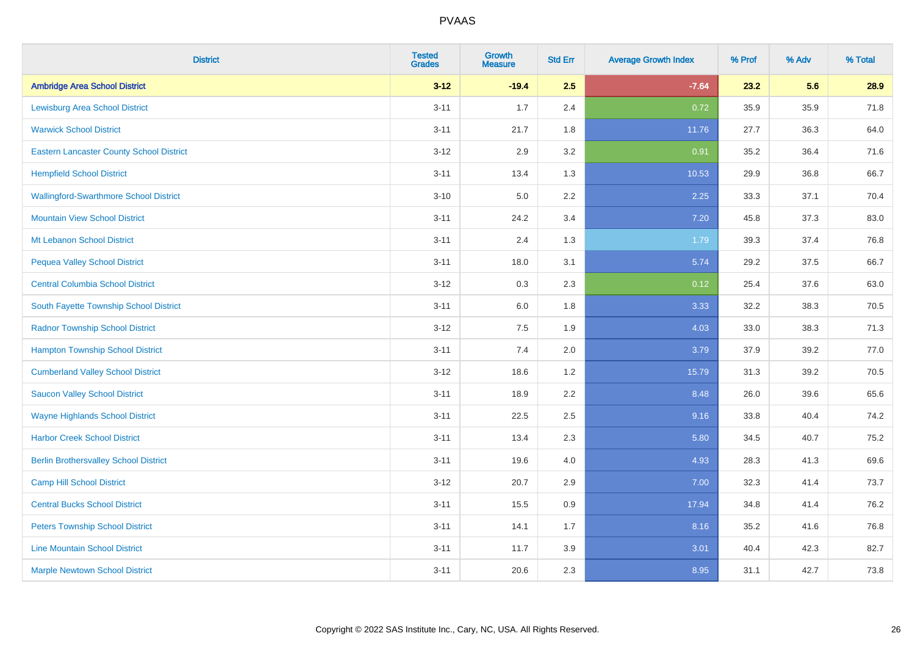| <b>District</b>                                 | <b>Tested</b><br><b>Grades</b> | <b>Growth</b><br><b>Measure</b> | <b>Std Err</b> | <b>Average Growth Index</b> | % Prof | % Adv | % Total |
|-------------------------------------------------|--------------------------------|---------------------------------|----------------|-----------------------------|--------|-------|---------|
| <b>Ambridge Area School District</b>            | $3 - 12$                       | $-19.4$                         | 2.5            | $-7.64$                     | 23.2   | 5.6   | 28.9    |
| <b>Lewisburg Area School District</b>           | $3 - 11$                       | 1.7                             | 2.4            | 0.72                        | 35.9   | 35.9  | 71.8    |
| <b>Warwick School District</b>                  | $3 - 11$                       | 21.7                            | 1.8            | 11.76                       | 27.7   | 36.3  | 64.0    |
| <b>Eastern Lancaster County School District</b> | $3 - 12$                       | 2.9                             | 3.2            | 0.91                        | 35.2   | 36.4  | 71.6    |
| <b>Hempfield School District</b>                | $3 - 11$                       | 13.4                            | 1.3            | 10.53                       | 29.9   | 36.8  | 66.7    |
| <b>Wallingford-Swarthmore School District</b>   | $3 - 10$                       | $5.0\,$                         | 2.2            | 2.25                        | 33.3   | 37.1  | 70.4    |
| <b>Mountain View School District</b>            | $3 - 11$                       | 24.2                            | 3.4            | 7.20                        | 45.8   | 37.3  | 83.0    |
| Mt Lebanon School District                      | $3 - 11$                       | 2.4                             | 1.3            | 1.79                        | 39.3   | 37.4  | 76.8    |
| <b>Pequea Valley School District</b>            | $3 - 11$                       | 18.0                            | 3.1            | 5.74                        | 29.2   | 37.5  | 66.7    |
| <b>Central Columbia School District</b>         | $3 - 12$                       | 0.3                             | $2.3\,$        | 0.12                        | 25.4   | 37.6  | 63.0    |
| South Fayette Township School District          | $3 - 11$                       | 6.0                             | 1.8            | 3.33                        | 32.2   | 38.3  | 70.5    |
| <b>Radnor Township School District</b>          | $3 - 12$                       | 7.5                             | 1.9            | 4.03                        | 33.0   | 38.3  | 71.3    |
| <b>Hampton Township School District</b>         | $3 - 11$                       | 7.4                             | 2.0            | 3.79                        | 37.9   | 39.2  | 77.0    |
| <b>Cumberland Valley School District</b>        | $3 - 12$                       | 18.6                            | 1.2            | 15.79                       | 31.3   | 39.2  | 70.5    |
| <b>Saucon Valley School District</b>            | $3 - 11$                       | 18.9                            | 2.2            | 8.48                        | 26.0   | 39.6  | 65.6    |
| <b>Wayne Highlands School District</b>          | $3 - 11$                       | 22.5                            | 2.5            | 9.16                        | 33.8   | 40.4  | 74.2    |
| <b>Harbor Creek School District</b>             | $3 - 11$                       | 13.4                            | 2.3            | 5.80                        | 34.5   | 40.7  | 75.2    |
| <b>Berlin Brothersvalley School District</b>    | $3 - 11$                       | 19.6                            | 4.0            | 4.93                        | 28.3   | 41.3  | 69.6    |
| <b>Camp Hill School District</b>                | $3 - 12$                       | 20.7                            | 2.9            | 7.00                        | 32.3   | 41.4  | 73.7    |
| <b>Central Bucks School District</b>            | $3 - 11$                       | 15.5                            | 0.9            | 17.94                       | 34.8   | 41.4  | 76.2    |
| <b>Peters Township School District</b>          | $3 - 11$                       | 14.1                            | 1.7            | 8.16                        | 35.2   | 41.6  | 76.8    |
| <b>Line Mountain School District</b>            | $3 - 11$                       | 11.7                            | 3.9            | 3.01                        | 40.4   | 42.3  | 82.7    |
| <b>Marple Newtown School District</b>           | $3 - 11$                       | 20.6                            | 2.3            | 8.95                        | 31.1   | 42.7  | 73.8    |